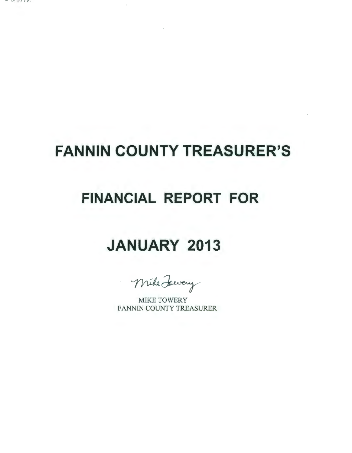$-43111$ 

# **FANNIN COUNTY TREASURER'S**

# **FINANCIAL REPORT FOR**

# **JANUARY 2013**

Mike Lewery

MIKE TOWERY FANNIN COUNTY TREASURER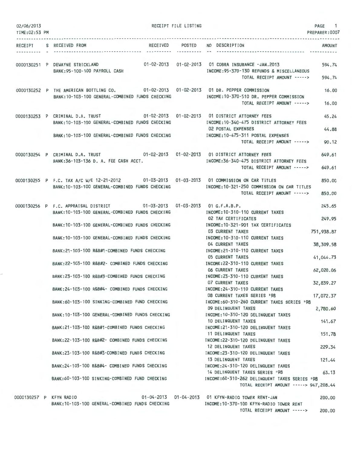| 02/06/2013<br>TIME: 02:53 PM |                                                                                                                                                                                         | RECEIPT FILE LISTING |                                                                                                              | PAGE 1<br>PREPARER: 0007 |
|------------------------------|-----------------------------------------------------------------------------------------------------------------------------------------------------------------------------------------|----------------------|--------------------------------------------------------------------------------------------------------------|--------------------------|
|                              | RECEIPT S RECEIVED FROM                                                                                                                                                                 |                      | RECEIVED POSTED NO DESCRIPTION                                                                               | <b>AMOUNT</b>            |
|                              | 0000130251 P DEWAYNE STRICKLAND<br>BANK: 95-100-100 PAYROLL CASH                                                                                                                        |                      | INCOME: 95-370-130 REFUNDS & MISCELLANEOUS<br>TOTAL RECEIPT AMOUNT ----->                                    | 594.74<br>594.74         |
|                              | 0000130252 P THE AMERICAN BOTTLING CO. 01-02-2013 01-02-2013 01 DR. PEPPER COMMISSION<br>BANK: 10-103-100 GENERAL-COMBINED FUNDS CHECKING                                               |                      | INCOME:10-370-510 DR. PEPPER COMMISSION<br>TOTAL RECEIPT AMOUNT ----->                                       | 16.00<br>16.00           |
|                              | 0000130253 P CRIMINAL D.A. TRUST 01-02-2013 01-02-2013 01 DISTRICT ATTORNEY FEES<br>BANK: 10-103-100 GENERAL-COMBINED FUNDS CHECKING<br>BANK:10-103-100 GENERAL-COMBINED FUNDS CHECKING |                      | INCOME: 10-340-475 DISTRICT ATTORNEY FEES<br><b>02 POSTAL EXPENSES</b><br>INCOME: 10-475-311 POSTAL EXPENSES | 45.24<br>44.88           |
|                              |                                                                                                                                                                                         |                      | TOTAL RECEIPT AMOUNT ----->                                                                                  | 90.12                    |
|                              | 0000130254 P CRIMINAL D.A. TRUST 01-02-2013 01-02-2013 01 DISTRICT ATTORNEY FEES<br>BANK: 36-103-136 D. A. FEE CASH ACCT.                                                               |                      | INCOME: 36-340-475 DISTRICT ATTORNEY FEES<br>TOTAL RECEIPT AMOUNT ----->                                     | 649.61<br>649.61         |
|                              | 0000130255 P F.C. TAX A/C W/E 12-21-2012 01-03-2013 01-03-2013 01 COMMISSION ON CAR TITLES<br>BANK: 10-103-100 GENERAL-COMBINED FUNDS CHECKING                                          |                      | INCOME: 10-321-250 COMMISSION ON CAR TITLES<br>TOTAL RECEIPT AMOUNT ----->                                   | 850.00<br>850.00         |
|                              | 0000130256 P F.C. APPRAISAL DISTRICT 01-03-2013 01-03-2013 01 G.F.A.B.P.<br>BANK:10-103-100 GENERAL-COMBINED FUNDS CHECKING                                                             |                      | INCOME: 10-310-110 CURRENT TAXES<br>02 TAX CERTIFICATES                                                      | 245.65<br>249.95         |
|                              | BANK: 10-103-100 GENERAL-COMBINED FUNDS CHECKING<br>BANK: 10-103-100 GENERAL-COMBINED FUNDS CHECKING                                                                                    |                      | INCOME: 10-321-901 TAX CERTIFICATES<br><b>03 CURRENT TAXES</b><br>INCOME: 10-310-110 CURRENT TAXES           | 751,938.87               |
|                              | BANK:21-103-100 R&B#1-COMBINED FUNDS CHECKING                                                                                                                                           |                      | 04 CURRENT TAXES<br>INCOME:21-310-110 CURRENT TAXES                                                          | 38,309.58                |
|                              | BANK:22-103-100 R&B#2- COMBINED FUNDS CHECKING                                                                                                                                          |                      | 05 CURRENT TAXES<br>INCOME: 22-310-110 CURRENT TAXES                                                         | 41,044.73                |
|                              | BANK: 23-103-100 R&B#3-COMBINED FUNDS CHECKING                                                                                                                                          |                      | <b>06 CURRENT TAXES</b><br>INCOME: 23-310-110 CURRENT TAXES<br><b>07 CURRENT TAXES</b>                       | 62,020.06<br>32,839.27   |
|                              | BANK: 24-103-100 R&B#4- COMBINED FUNDS CHECKING                                                                                                                                         |                      | INCOME: 24-310-110 CURRENT TAXES<br>08 CURRENT TAXES SERIES '98                                              | 17,072.37                |
|                              | BANK:60-103-100 SINKING-COMBINED FUND CHECKING<br>BANK: 10-103-100 GENERAL-COMBINED FUNDS CHECKING                                                                                      |                      | INCOME:60-310-260 CURRENT TAXES SERIES '98<br>09 DELINQUENT TAXES<br>INCOME: 10-310-120 DELINQUENT TAXES     | 2,780.60                 |
|                              | BANK:21-103-100 R&B#1-COMBINED FUNDS CHECKING                                                                                                                                           |                      | 10 DELINQUENT TAXES<br>INCOME:21-310-120 DELINQUENT TAXES                                                    | 141.67                   |
|                              | BANK: 22-103-100 R&B#2- COMBINED FUNDS CHECKING                                                                                                                                         |                      | 11 DELINQUENT TAXES<br>INCOME: 22-310-120 DELINQUENT TAXES                                                   | 151.78                   |
|                              | BANK:23-103-100 R&B#3-COMBINED FUNDS CHECKING                                                                                                                                           |                      | 12 DELINQUENT TAXES<br>INCOME: 23-310-120 DELINQUENT TAXES<br>13 DELINQUENT TAXES                            | 229.34<br>121.44         |
|                              | BANK: 24-103-100 R&B#4- COMBINED FUNDS CHECKING                                                                                                                                         |                      | INCOME: 24-310-120 DELINQUENT TAXES<br>14 DELINQUENT TAXES SERIES '98                                        | 63.13                    |
|                              | BANK:60-103-100 SINKING-COMBINED FUND CHECKING                                                                                                                                          |                      | INCOME:60-310-262 DELINQUENT TAXES SERIES '98<br>TOTAL RECEIPT AMOUNT -----> 947,208.44                      |                          |
| 0000130257 P KFYN RADIO      | BANK: 10-103-100 GENERAL-COMBINED FUNDS CHECKING                                                                                                                                        |                      | 01-04-2013   01-04-2013   01 KFYN-RADIO TOWER RENT-JAN<br>INCOME:10-370-100 KFYN-RADIO TOWER RENT            | 200.00                   |

TOTAL RECEIPT AMOUNT ----->

200.00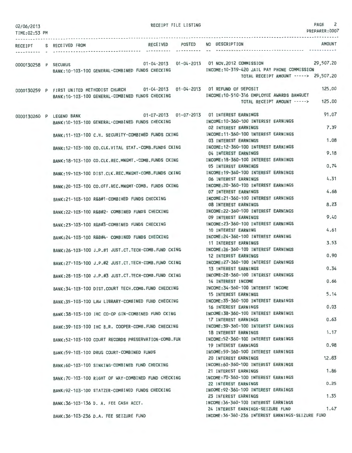| 02/06/2013<br>TIME:02:53 PM |                         |                                                                                       | RECEIPT FILE LISTING |                                                                                        | PAGE<br>2<br>PREPARER: 0007 |
|-----------------------------|-------------------------|---------------------------------------------------------------------------------------|----------------------|----------------------------------------------------------------------------------------|-----------------------------|
|                             | RECEIPT S RECEIVED FROM |                                                                                       | RECEIVED POSTED      | NO DESCRIPTION                                                                         | <b>AMOUNT</b>               |
|                             |                         |                                                                                       |                      |                                                                                        |                             |
| 0000130258 P SECURUS        |                         |                                                                                       |                      | 01-04-2013  01-04-2013  01 NOV.2012  COMMISSION  29,507.20                             |                             |
|                             |                         | BANK:10-103-100 GENERAL-COMBINED FUNDS CHECKING                                       |                      | INCOME:10-319-420 JAIL PAY PHONE COMMISSION                                            |                             |
|                             |                         |                                                                                       |                      | TOTAL RECEIPT AMOUNT -----> 29,507.20                                                  |                             |
|                             |                         | 0000130259 P FIRST UNITED METHODIST CHURCH 01-04-2013 01-04-2013 01 REFUND OF DEPOSIT |                      |                                                                                        | 125.00                      |
|                             |                         | BANK:10-103-100 GENERAL-COMBINED FUNDS CHECKING                                       |                      | INCOME: 10-510-316 EMPLOYEE AWARDS BANQUET                                             |                             |
|                             |                         |                                                                                       |                      | TOTAL RECEIPT AMOUNT ----->                                                            | 125,00                      |
|                             |                         | 0000130260 P LEGEND BANK 01-07-2013 01-07-2013 01 INTEREST EARNINGS                   |                      |                                                                                        | 91.07                       |
|                             |                         | BANK: 10-103-100 GENERAL-COMBINED FUNDS CHECKING                                      |                      | INCOME: 10-360-100 INTEREST EARNINGS                                                   |                             |
|                             |                         |                                                                                       |                      | 02 INTEREST EARNINGS                                                                   | 7.39                        |
|                             |                         | BANK: 11-103-100 C.H. SECURITY-COMBINED FUNDS CKING                                   |                      | INCOME: 11-360-100 INTEREST EARNINGS<br>03 INTEREST EARNINGS                           | 1.08                        |
|                             |                         | BANK:12-103-100 CO.CLK.VITAL STAT.-COMB.FUNDS CKING                                   |                      | INCOME: 12-360-100 INTEREST EARNINGS                                                   |                             |
|                             |                         |                                                                                       |                      | 04 INTEREST EARNINGS                                                                   | 9.18                        |
|                             |                         | BANK: 18-103-100 CO.CLK.REC.MNGMT. - COMB. FUNDS CKING                                |                      | INCOME: 18-360-100 INTEREST EARNINGS                                                   |                             |
|                             |                         |                                                                                       |                      | 05 INTEREST EARNINGS<br>INCOME: 19-360-100 INTEREST EARNINGS                           | 0.74                        |
|                             |                         | BANK: 19-103-100 DIST.CLK.REC.MNGMT-COMB.FUNDS CKING                                  |                      | 06 INTEREST EARNINGS                                                                   | 4.31                        |
|                             |                         | BANK:20-103-100 CO.OFF.REC.MNGMT-COMB. FUNDS CKING                                    |                      | INCOME:20-360-100 INTEREST EARNINGS                                                    |                             |
|                             |                         |                                                                                       |                      | <b>07 INTEREST EARNINGS</b>                                                            | 4.68                        |
|                             |                         | BANK:21-103-100 R&B#1-COMBINED FUNDS CHECKING                                         |                      | INCOME: 21-360-100 INTEREST EARNINGS<br><b>08 INTEREST EARNINGS</b>                    | 8.23                        |
|                             |                         | BANK:22-103-100 R&B#2- COMBINED FUNDS CHECKING                                        |                      | INCOME: 22-360-100 INTEREST EARNINGS                                                   |                             |
|                             |                         |                                                                                       |                      | 09 INTEREST EARNINGS                                                                   | 9.40                        |
|                             |                         | BANK:23-103-100 R&B#3-COMBINED FUNDS CHECKING                                         |                      | INCOME: 23-360-100 INTEREST EARNINGS                                                   |                             |
|                             |                         | BANK:24-103-100 R&B#4- COMBINED FUNDS CHECKING                                        |                      | 10 INTEREST EARNING<br>INCOME: 24-360-100 INTEREST EARNING                             | 4.61                        |
|                             |                         |                                                                                       |                      | 11 INTEREST EARNINGS                                                                   | 3.53                        |
|                             |                         | BANK:26-103-100 J.P.#1 JUST.CT.TECH-COMB.FUND CKING                                   |                      | INCOME: 26-360-100 INTEREST EARNINGS                                                   |                             |
|                             |                         |                                                                                       |                      | <b>12 INTEREST EARNINGS</b>                                                            | 0.90                        |
|                             |                         | BANK:27-103-100 J.P.#2 JUST.CT.TECH-COMB.FUND CKING                                   |                      | INCOME: 27-360-100 INTEREST EARNINGS<br>13 INTEREST EARNINGS                           | 0.34                        |
|                             |                         | BANK:28-103-100 J.P.#3 JUST.CT.TECH-COMB.FUND CKING                                   |                      | INCOME: 28-360-100 INTEREST EARNINGS                                                   |                             |
|                             |                         |                                                                                       |                      | 14 INTEREST INCOME                                                                     | 0.66                        |
|                             |                         | BANK:34-103-100 DIST.COURT TECH.COMB.FUND CHECKING                                    |                      | INCOME: 34-360-100 INTEREST INCOME<br><b>15 INTEREST EARNINGS</b>                      | 5.14                        |
|                             |                         | BANK:35-103-100 LAW LIBRARY-COMBINED FUND CHECKING                                    |                      | INCOME: 35-360-100 INTEREST EARNINGS                                                   |                             |
|                             |                         |                                                                                       |                      | 16 INTEREST EARNINGS                                                                   | 0.03                        |
|                             |                         | BANK:38-103-100 IHC CO-OP GIN-COMBINED FUND CKING                                     |                      | INCOME: 38-360-100 INTEREST EARNINGS                                                   |                             |
|                             |                         |                                                                                       |                      | 17 INTEREST EARNINGS<br>INCOME: 39-360-100 INTEREST EARNINGS                           | 0.63                        |
|                             |                         | BANK:39-103-100 IHC B.R. COOPER-COMB. FUND CHECKING                                   |                      | <b>18 INTEREST EARNINGS</b>                                                            | 1.17                        |
|                             |                         | BANK: 52-103-100 COURT RECORDS PRESERVATION-COMB. FUN                                 |                      | INCOME: 52-360-100 INTEREST EARNINGS                                                   |                             |
|                             |                         |                                                                                       |                      | 19 INTEREST EARNINGS                                                                   | 0.98                        |
|                             |                         | BANK:59-103-100 DRUG COURT-COMBINED FUNDS                                             |                      | INCOME: 59-360-100 INTEREST EARNINGS<br>20 INTEREST EARNINGS                           | 12.83                       |
|                             |                         | BANK:60-103-100 SINKING-COMBINED FUND CHECKING                                        |                      | INCOME:60-360-100 INTEREST EARNINGS                                                    |                             |
|                             |                         |                                                                                       |                      | 21 INTEREST EARNINGS                                                                   | 1.86                        |
|                             |                         | BANK: 70-103-100 RIGHT OF WAY-COMBINED FUND CHECKING                                  |                      | INCOME: 70-360-100 INTEREST EARNINGS                                                   |                             |
|                             |                         | BANK: 92-103-100 STATZER-COMBINED FUNDS CHECKING                                      |                      | 22 INTEREST EARNINGS<br>INCOME: 92-360-100 INTEREST EARNINGS                           | 0.25                        |
|                             |                         |                                                                                       |                      | 23 INTEREST EARNINGS                                                                   | 1.35                        |
|                             |                         | BANK: 36-103-136 D. A. FEE CASH ACCT.                                                 |                      | INCOME: 36-360-100 INTEREST EARNINGS                                                   |                             |
|                             |                         |                                                                                       |                      | 24 INTEREST EARNINGS-SEIZURE FUND<br>INCOME: 36-360-236 INTEREST EARNINGS-SEIZURE FUND | 1.47                        |
|                             |                         | BANK: 36-103-236 D.A. FEE SEIZURE FUND                                                |                      |                                                                                        |                             |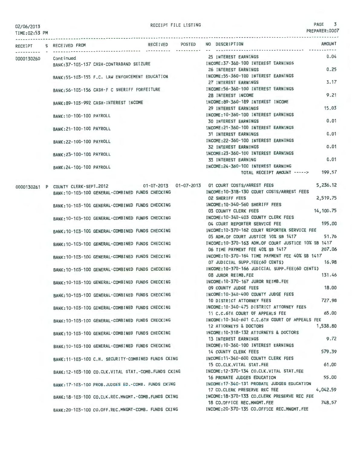TIME:02:53 PM

### RECEIPT FILE LISTING PAGE 3

PREPARER:0007

| RECEIPT    | S RECEIVED FROM          |                                                       | RECEIVED POSTED NO DESCRIPTION |                                                                                    |                                                                                            | <b>AMOUNT</b> |  |  |
|------------|--------------------------|-------------------------------------------------------|--------------------------------|------------------------------------------------------------------------------------|--------------------------------------------------------------------------------------------|---------------|--|--|
|            | Cont inued               |                                                       |                                |                                                                                    | 25 INTEREST EARNINGS                                                                       | 0.04          |  |  |
| 0000130260 |                          | BANK: 37-103-137 CASH-CONTRABAND SEIZURE              |                                |                                                                                    | INCOME: 37-360-100 INTEREST EARNINGS                                                       |               |  |  |
|            |                          |                                                       |                                | 0.25<br>26 INTEREST EARNINGS                                                       |                                                                                            |               |  |  |
|            |                          |                                                       |                                | BANK:55-103-155 F.C. LAW ENFORCEMENT EDUCATION INCOME:55-360-100 INTEREST EARNINGS |                                                                                            |               |  |  |
|            |                          |                                                       |                                | 3.17<br>27 INTEREST EARNINGS                                                       |                                                                                            |               |  |  |
|            |                          | BANK:56-103-156 CASH-F C SHERIFF FORFEITURE           |                                |                                                                                    | INCOME: 56-360-100 INTEREST EARNINGS                                                       |               |  |  |
|            |                          |                                                       |                                |                                                                                    | 28 INTEREST INCOME                                                                         | 9.21          |  |  |
|            |                          | BANK: 89-103-992 CASH-INTEREST INCOME                 |                                |                                                                                    | INCOME: 89-360-189 INTEREST INCOME<br>29 INTEREST EARNINGS                                 | 15.03         |  |  |
|            |                          |                                                       |                                |                                                                                    | INCOME: 10-360-100 INTEREST EARNINGS                                                       |               |  |  |
|            | BANK: 10-100-100 PAYROLL |                                                       |                                |                                                                                    | <b>30 INTEREST EARNINGS</b>                                                                | 0.01          |  |  |
|            | BANK: 21-100-100 PAYROLL |                                                       |                                |                                                                                    | INCOME: 21-360-100 INTEREST EARNINGS                                                       |               |  |  |
|            |                          |                                                       |                                |                                                                                    | <b>31 INTEREST EARNINGS</b>                                                                | 0.01          |  |  |
|            | BANK: 22-100-100 PAYROLL |                                                       |                                |                                                                                    | INCOME: 22-360-100 INTEREST EARNINGS                                                       |               |  |  |
|            |                          |                                                       |                                |                                                                                    | <b>32 INTEREST EARNINGS</b>                                                                | 0.01          |  |  |
|            | BANK: 23-100-100 PAYROLL |                                                       |                                |                                                                                    | INCOME: 23-360-100 INTEREST EARNINGS                                                       |               |  |  |
|            |                          |                                                       |                                |                                                                                    | 33 INTEREST EARNING                                                                        | 0.01          |  |  |
|            | BANK: 24-100-100 PAYROLL |                                                       |                                |                                                                                    | INCOME:24-360-100 INTEREST EARNING                                                         |               |  |  |
|            |                          |                                                       |                                |                                                                                    | TOTAL RECEIPT AMOUNT ----->                                                                | 199.57        |  |  |
|            |                          |                                                       |                                |                                                                                    | 0000130261 P COUNTY CLERK-SEPT.2012 01-07-2013 01-07-2013 01 COURT COSTS/ARREST FEES       | 5.236.12      |  |  |
|            |                          | BANK: 10-103-100 GENERAL-COMBINED FUNDS CHECKING      |                                |                                                                                    | INCOME: 10-318-130 COURT COSTS/ARREST FEES                                                 |               |  |  |
|            |                          |                                                       |                                |                                                                                    | <b>02 SHERIFF FEES</b>                                                                     | 2,519.75      |  |  |
|            |                          | BANK: 10-103-100 GENERAL-COMBINED FUNDS CHECKING      |                                |                                                                                    | INCOME:10-340-560 SHERIFF FEES                                                             |               |  |  |
|            |                          |                                                       |                                |                                                                                    | 03 COUNTY CLERK FEES                                                                       | 14, 100, 75   |  |  |
|            |                          | BANK: 10-103-100 GENERAL-COMBINED FUNDS CHECKING      |                                |                                                                                    | INCOME: 10-340-403 COUNTY CLERK FEES                                                       |               |  |  |
|            |                          |                                                       |                                |                                                                                    | 04 COURT REPORTER SERVICE FEE                                                              | 195,00        |  |  |
|            |                          | BANK: 10-103-100 GENERAL-COMBINED FUNDS CHECKING      |                                |                                                                                    | INCOME: 10-370-162 COURT REPORTER SERVICE FEE                                              | 51.76         |  |  |
|            |                          |                                                       |                                |                                                                                    | 05 ADM.OF COURT JUSTICE 10% SB 1417<br>INCOME: 10-370-163 ADM.OF COURT JUSTICE 10% SB 1417 |               |  |  |
|            |                          | BANK: 10-103-100 GENERAL-COMBINED FUNDS CHECKING      |                                |                                                                                    | 06 TIME PAYMENT FEE 40% SB 1417                                                            | 207.06        |  |  |
|            |                          | BANK: 10-103-100 GENERAL-COMBINED FUNDS CHECKING      |                                |                                                                                    | INCOME: 10-370-164 TIME PAYMENT FEE 40% SB 1417                                            |               |  |  |
|            |                          |                                                       |                                |                                                                                    | 07 JUDICIAL SUPP.FEE(60 CENTS)                                                             | 16.98         |  |  |
|            |                          | BANK: 10-103-100 GENERAL-COMBINED FUNDS CHECKING      |                                |                                                                                    | INCOME:10-370-166 JUDICIAL SUPP.FEE(60 CENTS)                                              |               |  |  |
|            |                          |                                                       |                                |                                                                                    | 08 JUROR REIMB.FEE                                                                         | 131.46        |  |  |
|            |                          | BANK:10-103-100 GENERAL-COMBINED FUNDS CHECKING       |                                |                                                                                    | INCOME: 10-370-167 JUROR REIMB.FEE                                                         |               |  |  |
|            |                          |                                                       |                                |                                                                                    | 09 COUNTY JUDGE FEES                                                                       | 18.00         |  |  |
|            |                          | BANK: 10-103-100 GENERAL-COMBINED FUNDS CHECKING      |                                |                                                                                    | INCOME:10-340-400 COUNTY JUDGE FEES                                                        |               |  |  |
|            |                          |                                                       |                                |                                                                                    | 10 DISTRICT ATTORNEY FEES<br>INCOME: 10-340-475 DISTRICT ATTORNEY FEES                     | 727.98        |  |  |
|            |                          | BANK: 10-103-100 GENERAL-COMBINED FUNDS CHECKING      |                                |                                                                                    | 11 C.C.6TH COURT OF APPEALS FEE                                                            | 65.00         |  |  |
|            |                          | BANK:10-103-100 GENERAL-COMBINED FUNDS CHECKING       |                                |                                                                                    | INCOME: 10-340-601 C.C.6TH COURT OF APPEALS FEE                                            |               |  |  |
|            |                          |                                                       |                                |                                                                                    | 12 ATTORNEYS & DOCTORS                                                                     | 1,538.80      |  |  |
|            |                          | BANK: 10-103-100 GENERAL-COMBINED FUNDS CHECKING      |                                |                                                                                    | INCOME: 10-318-132 ATTORNEYS & DOCTORS                                                     |               |  |  |
|            |                          |                                                       |                                |                                                                                    | <b>13 INTEREST EARNINGS</b>                                                                | 9.72          |  |  |
|            |                          | BANK: 10-103-100 GENERAL-COMBINED FUNDS CHECKING      |                                |                                                                                    | INCOME: 10-360-100 INTEREST EARNINGS                                                       |               |  |  |
|            |                          |                                                       |                                |                                                                                    | <b>14 COUNTY CLERK FEES</b>                                                                | 579.39        |  |  |
|            |                          | BANK:11-103-100 C.H. SECURITY-COMBINED FUNDS CKING    |                                |                                                                                    | INCOME: 11-340-600 COUNTY CLERK FEES                                                       |               |  |  |
|            |                          |                                                       |                                |                                                                                    | 15 CO.CLK.VITAL STAT.FEE                                                                   | 61.00         |  |  |
|            |                          | BANK: 12-103-100 CO.CLK.VITAL STAT.-COMB.FUNDS CKING  |                                |                                                                                    | INCOME: 12-370-134 CO.CLK.VITAL STAT.FEE<br>16 PROBATE JUDGES EDUCATION                    | 55.00         |  |  |
|            |                          | BANK: 17-103-100 PROB. JUDGES ED. - COMB. FUNDS CKING |                                |                                                                                    | INCOME: 17-340-131 PROBATE JUDGES EDUCATION                                                |               |  |  |
|            |                          |                                                       |                                |                                                                                    | 17 CO.CLERK PRESERVE REC FEE                                                               | 4,042.59      |  |  |
|            |                          | BANK: 18-103-100 CO.CLK.REC.MNGMT.-COMB.FUNDS CKING   |                                |                                                                                    | INCOME: 18-370-133 CO.CLERK PRESERVE REC FEE                                               |               |  |  |
|            |                          |                                                       |                                |                                                                                    | 18 CO.OFFICE REC.MNGMT.FEE                                                                 | 748.57        |  |  |
|            |                          | BANK: 20-103-100 CO.OFF.REC.MNGMT-COMB. FUNDS CKING   |                                |                                                                                    | INCOME: 20-370-135 CO.OFFICE REC.MNGMT.FEE                                                 |               |  |  |
|            |                          |                                                       |                                |                                                                                    |                                                                                            |               |  |  |
|            |                          |                                                       |                                |                                                                                    |                                                                                            |               |  |  |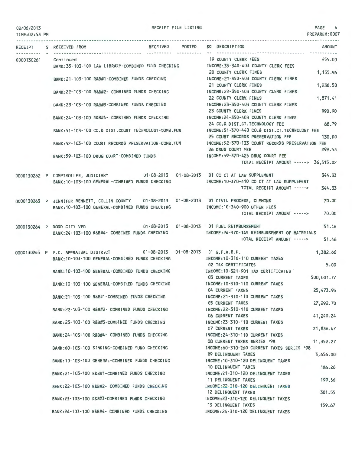| 02/06/2013<br>TIME: 02:53 PM |                                                                                      |                 | RECEIPT FILE LISTING |                                                                                              | PAGE 4<br>PREPARER:0007 |
|------------------------------|--------------------------------------------------------------------------------------|-----------------|----------------------|----------------------------------------------------------------------------------------------|-------------------------|
|                              | RECEIPT S RECEIVED FROM                                                              | RECEIVED POSTED |                      | NO DESCRIPTION                                                                               | <b>AMOUNT</b>           |
|                              | 0000130261 Continued                                                                 |                 |                      | <b>19 COUNTY CLERK FEES</b>                                                                  | 455.00                  |
|                              | BANK:35-103-100 LAW LIBRARY-COMBINED FUND CHECKING                                   |                 |                      | INCOME:35-340-403 COUNTY CLERK FEES                                                          |                         |
|                              |                                                                                      |                 |                      | 20 COUNTY CLERK FINES                                                                        | 1,155.96                |
|                              | BANK:21-103-100 R&B#1-COMBINED FUNDS CHECKING                                        |                 |                      | INCOME: 21-350-403 COUNTY CLERK FINES                                                        |                         |
|                              |                                                                                      |                 |                      | 21 COUNTY CLERK FINES                                                                        | 1,238.50                |
|                              | BANK: 22-103-100 R&B#2- COMBINED FUNDS CHECKING                                      |                 |                      | INCOME:22-350-403 COUNTY CLERK FINES<br>22 COUNTY CLERK FINES                                | 1,871.41                |
|                              | BANK:23-103-100 R&B#3-COMBINED FUNDS CHECKING                                        |                 |                      | INCOME:23-350-403 COUNTY CLERK FINES                                                         |                         |
|                              |                                                                                      |                 |                      | 23 COUNTY CLERK FINES                                                                        | 990.90                  |
|                              | BANK: 24-103-100 R&B#4- COMBINED FUNDS CHECKING                                      |                 |                      | INCOME:24-350-403 COUNTY CLERK FINES                                                         |                         |
|                              |                                                                                      |                 |                      | 24 CO.& DIST.CT. TECHNOLOGY FEE                                                              | 68.79                   |
|                              | BANK:51-103-100 CO.& DIST.COURT TECHNOLOGY-COMB.FUN                                  |                 |                      | INCOME:51-370-440 CO.& DIST.CT.TECHNOLOGY FEE                                                |                         |
|                              |                                                                                      |                 |                      | 25 COURT RECORDS PRESERVATION FEE                                                            | 130.00                  |
|                              | BANK: 52-103-100 COURT RECORDS PRESERVATION-COMB.FUN                                 |                 |                      | INCOME:52-370-133 COURT RECORDS PRESERVATION FEE                                             |                         |
|                              |                                                                                      |                 |                      | 26 DRUG COURT FEE                                                                            | 299.53                  |
|                              | BANK:59-103-100 DRUG COURT-COMBINED FUNDS                                            |                 |                      | INCOME:59-370-425 DRUG COURT FEE                                                             |                         |
|                              |                                                                                      |                 |                      | TOTAL RECEIPT AMOUNT -----> 36,515.02                                                        |                         |
|                              | 0000130262 P COMPTROLLER, JUDICIARY 01-08-2013 01-08-2013 01 CO CT AT LAW SUPPLEMENT |                 |                      |                                                                                              | 344.33                  |
|                              | BANK:10-103-100 GENERAL-COMBINED FUNDS CHECKING                                      |                 |                      | INCOME: 10-370-410 CO CT AT LAW SUPPLEMENT                                                   |                         |
|                              |                                                                                      |                 |                      | TOTAL RECEIPT AMOUNT ----->                                                                  | 344.33                  |
|                              |                                                                                      |                 |                      |                                                                                              |                         |
|                              |                                                                                      |                 |                      | 0000130263 P JENNIFER BENNETT, COLLIN COUNTY 01-08-2013 01-08-2013 01 CIVIL PROCESS, CLEMONS | 70.00                   |
|                              | BANK: 10-103-100 GENERAL-COMBINED FUNDS CHECKING                                     |                 |                      | INCOME: 10-340-900 OTHER FEES                                                                |                         |
|                              |                                                                                      |                 |                      | TOTAL RECEIPT AMOUNT ----->                                                                  | 70.00                   |
|                              | 0000130264 P DODD CITY VFD 01-08-2013 01-08-2013 01 FUEL REIMBURSEMENT               |                 |                      |                                                                                              | 51.46                   |
|                              | BANK: 24-103-100 R&B#4- COMBINED FUNDS CHECKING                                      |                 |                      | INCOME:24-370-145 REIMBURSEMENT OF MATERIALS                                                 |                         |
|                              |                                                                                      |                 |                      | TOTAL RECEIPT AMOUNT ----->                                                                  | 51.46                   |
|                              |                                                                                      |                 |                      |                                                                                              |                         |
|                              | 0000130265 P F.C. APPRAISAL DISTRICT 01-08-2013 01-08-2013 01 G.F.A.B.P.             |                 |                      |                                                                                              | 1,382.66                |
|                              | BANK: 10-103-100 GENERAL-COMBINED FUNDS CHECKING                                     |                 |                      | INCOME: 10-310-110 CURRENT TAXES                                                             |                         |
|                              | BANK: 10-103-100 GENERAL-COMBINED FUNDS CHECKING                                     |                 |                      | 02 TAX CERTIFICATES<br>INCOME: 10-321-901 TAX CERTIFICATES                                   | 5.00                    |
|                              |                                                                                      |                 |                      | 03 CURRENT TAXES                                                                             | 500,001.77              |
|                              | BANK: 10-103-100 GENERAL-COMBINED FUNDS CHECKING                                     |                 |                      | INCOME: 10-310-110 CURRENT TAXES                                                             |                         |
|                              |                                                                                      |                 |                      | 04 CURRENT TAXES                                                                             | 25,473.95               |
|                              | BANK:21-103-100 R&B#1-COMBINED FUNDS CHECKING                                        |                 |                      | INCOME: 21-310-110 CURRENT TAXES                                                             |                         |
|                              |                                                                                      |                 |                      | <b>05 CURRENT TAXES</b>                                                                      | 27,292.70               |
|                              | BANK: 22-103-100 R&B#2- COMBINED FUNDS CHECKING                                      |                 |                      | INCOME: 22-310-110 CURRENT TAXES                                                             |                         |
|                              |                                                                                      |                 |                      | <b>06 CURRENT TAXES</b><br>INCOME: 23-310-110 CURRENT TAXES                                  | 41,240.24               |
|                              | BANK:23-103-100 R&B#3-COMBINED FUNDS CHECKING                                        |                 |                      | <b>07 CURRENT TAXES</b>                                                                      | 21,836.47               |
|                              | BANK: 24-103-100 R&B#4- COMBINED FUNDS CHECKING                                      |                 |                      | INCOME: 24-310-110 CURRENT TAXES                                                             |                         |
|                              |                                                                                      |                 |                      | 08 CURRENT TAXES SERIES '98                                                                  | 11,352.27               |
|                              | BANK:60-103-100 SINKING-COMBINED FUND CHECKING                                       |                 |                      | INCOME:60-310-260 CURRENT TAXES SERIES '98                                                   |                         |
|                              |                                                                                      |                 |                      | 09 DELINQUENT TAXES                                                                          | 3,656.00                |
|                              | BANK: 10-103-100 GENERAL-COMBINED FUNDS CHECKING                                     |                 |                      | INCOME:10-310-120 DELINQUENT TAXES                                                           |                         |
|                              |                                                                                      |                 |                      | 10 DELINQUENT TAXES                                                                          | 186.26                  |
|                              | BANK:21-103-100 R&B#1-COMBINED FUNDS CHECKING                                        |                 |                      | INCOME: 21-310-120 DELINQUENT TAXES<br>11 DELINQUENT TAXES                                   | 199.56                  |
|                              | BANK: 22-103-100 R&B#2- COMBINED FUNDS CHECKING                                      |                 |                      | INCOME: 22-310-120 DELINQUENT TAXES                                                          |                         |
|                              |                                                                                      |                 |                      | 12 DELINQUENT TAXES                                                                          | 301.55                  |
|                              | BANK:23-103-100 R&B#3-COMBINED FUNDS CHECKING                                        |                 |                      | INCOME: 23-310-120 DELINQUENT TAXES                                                          |                         |
|                              |                                                                                      |                 |                      | 13 DELINQUENT TAXES                                                                          | 159.67                  |
|                              | BANK:24-103-100 R&B#4- COMBINED FUNDS CHECKING                                       |                 |                      | INCOME: 24-310-120 DELINQUENT TAXES                                                          |                         |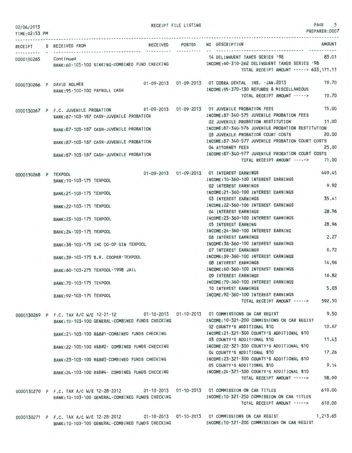| 02/06/2013<br>TIME: 02:53 PM |                                                                                                                                                 | RECEIPT FILE LISTING | 5<br>PAGE<br>PREPARER: 0007                                                                                                                             |
|------------------------------|-------------------------------------------------------------------------------------------------------------------------------------------------|----------------------|---------------------------------------------------------------------------------------------------------------------------------------------------------|
| RECEIPT                      | S RECEIVED FROM                                                                                                                                 | RECEIVED POSTED      | <b>AMOUNT</b><br>NO DESCRIPTION                                                                                                                         |
| 0000130265                   | Continued<br>BANK:60-103-100 SINKING-COMBINED FUND CHECKING                                                                                     |                      | 83.01<br>14 DELINQUENT TAXES SERIES '98<br>INCOME: 60-310-262 DELINQUENT TAXES SERIES '98<br>TOTAL RECEIPT AMOUNT -----> 633,171.11                     |
|                              | 0000130266 P DAVID HOLMES<br>BANK: 95-100-100 PAYROLL CASH                                                                                      |                      | 19.70<br>01-09-2013  01-09-2013  01 COBRA DENTAL INS. - JAN. 2013<br>INCOME: 95-370-130 REFUNDS & MISCELLANEOUS<br>TOTAL RECEIPT AMOUNT -----><br>19.70 |
|                              | 0000130267 P F.C. JUVENILE PROBATION<br>BANK:87-103-187 CASH-JUVENILE PROBATION                                                                 |                      | 15.00<br>01-09-2013  01-09-2013  01 JUVENILE PROBATION FEES<br>INCOME:87-340-575 JUVENILE PROBATION FEES<br>11.00<br>02 JUVENILE PROBATION RESTITUTION  |
|                              | BANK: 87-103-187 CASH-JUVENILE PROBATION                                                                                                        |                      | INCOME:87-340-576 JUVENILE PROBATION RESTITUTION<br>20,00<br>03 JUVENILE PROBATION COURT COSTS                                                          |
|                              | BANK:87-103-187 CASH-JUVENILE PROBATION                                                                                                         |                      | INCOME:87-340-577 JUVENILE PROBATION COURT COSTS<br>25,00<br>04 ATTORNEY FEES                                                                           |
|                              | BANK:87-103-187 CASH-JUVENILE PROBATION                                                                                                         |                      | INCOME: 87-340-577 JUVENILE PROBATION COURT COSTS<br>71.00<br>TOTAL RECEIPT AMOUNT ----->                                                               |
| 0000130268 P TEXPOOL         | BANK: 10-103-175 TEXPOOL                                                                                                                        |                      | 449.45<br>01-09-2013  01-09-2013  01 INTEREST EARNINGS<br>INCOME: 10-360-100 INTEREST EARNINGS<br>9.92<br><b>02 INTEREST EARNINGS</b>                   |
|                              | BANK: 21-103-175 TEXPOOL                                                                                                                        |                      | INCOME: 21-360-100 INTEREST EARNINGS<br>35.41<br>03 INTEREST EARNINGS                                                                                   |
|                              | BANK: 22-103-175 TEXPOOL                                                                                                                        |                      | INCOME: 22-360-100 INTEREST EARNINGS<br>28.96<br>04 INTEREST EARNINGS                                                                                   |
|                              | BANK: 23-103-175 TEXPOOL                                                                                                                        |                      | INCOME:23-360-100 INTEREST EARNINGS<br>28.96<br>05 INTEREST EARNING                                                                                     |
|                              | BANK: 24-103-175 TEXPOOL                                                                                                                        |                      | INCOME: 24-360-100 INTEREST EARNING<br>2.27<br>06 INTEREST EARNINGS                                                                                     |
|                              | BANK: 38-103-175 IHC CO-OP GIN TEXPOOL                                                                                                          |                      | INCOME: 38-360-100 INTEREST EARNINGS<br>0.72<br><b>07 INTEREST EARNINGS</b>                                                                             |
|                              | BANK: 39-103-175 B.R. COOPER-TEXPOOL                                                                                                            |                      | INCOME: 39-360-100 INTEREST EARNINGS<br>14.96<br><b>08 INTEREST EARNINGS</b>                                                                            |
|                              | BANK:60-103-275 TEXPOOL-1998 JAIL                                                                                                               |                      | INCOME: 60-360-100 INTEREST EARNINGS<br>16.82<br>09 INTEREST EARNINGS                                                                                   |
|                              | BANK: 70-103-175 TEXPOOL                                                                                                                        |                      | INCOME: 70-360-100 INTEREST EARNINGS<br>5.03<br>10 INTEREST EARNINGS                                                                                    |
|                              | BANK: 92-103-175 TEXPOOL                                                                                                                        |                      | INCOME: 92-360-100 INTEREST EARNINGS<br>592.50<br>TOTAL RECEIPT AMOUNT ----->                                                                           |
|                              | 0000130269 P F.C. TAX A/C W/E 12-21-12 01-10-2013 01-10-2013 01 COMMISSIONS ON CAR REGIST                                                       |                      | 9.50                                                                                                                                                    |
|                              | BANK:10-103-100 GENERAL-COMBINED FUNDS CHECKING                                                                                                 |                      | INCOME: 10-321-200 COMMISSIONS ON CAR REGIST<br>10.67<br>02 COUNTY'S ADDITIONAL \$10                                                                    |
|                              | BANK:21-103-100 R&B#1-COMBINED FUNDS CHECKING                                                                                                   |                      | INCOME:21-321-300 COUNTY'S ADDITIONAL \$10<br>11.43<br>03 COUNTY'S ADDITIONAL \$10                                                                      |
|                              | BANK: 22-103-100 R&B#2- COMBINED FUNDS CHECKING                                                                                                 |                      | INCOME:22-321-300 COUNTY'S ADDITIONAL \$10<br>17.26<br>04 COUNTY'S ADDITIONAL \$10                                                                      |
|                              | BANK:23-103-100 R&B#3-COMBINED FUNDS CHECKING                                                                                                   |                      | INCOME: 23-321-300 COUNTY'S ADDITIONAL \$10<br>9.14<br>05 COUNTY'S ADDITIONAL \$10                                                                      |
|                              | BANK: 24-103-100 R&B#4- COMBINED FUNDS CHECKING                                                                                                 |                      | INCOME: 24-321-300 COUNTY'S ADDITIONAL \$10<br>58.00<br>TOTAL RECEIPT AMOUNT ----->                                                                     |
|                              | 0000130270 P F.C. TAX A/C W/E 12-28-2012 01-10-2013 01-10-2013 01 COMMISSION ON CAR TITLES                                                      |                      | 610.00                                                                                                                                                  |
|                              | BANK: 10-103-100 GENERAL-COMBINED FUNDS CHECKING                                                                                                |                      | INCOME:10-321-250 COMMISSION ON CAR TITLES<br>610.00<br>TOTAL RECEIPT AMOUNT ----->                                                                     |
|                              | 0000130271 P F.C. TAX A/C W/E 12-28-2012 01-10-2013 01-10-2013 01 COMMISSIONS ON CAR REGIST<br>BANK: 10-103-100 GENERAL-COMBINED FUNDS CHECKING |                      | 1,213.65<br>INCOME: 10-321-200 COMMISSIONS ON CAR REGIST                                                                                                |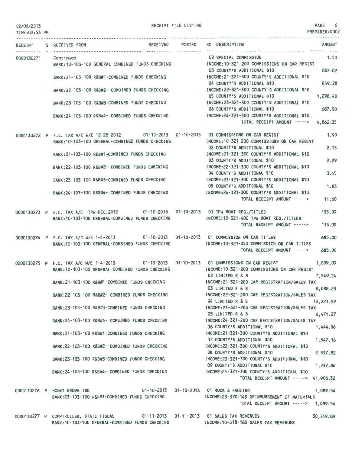|  | 02/06/2013 |  |  |  |  |               |  |
|--|------------|--|--|--|--|---------------|--|
|  |            |  |  |  |  | TIME:02:53 PM |  |
|  |            |  |  |  |  |               |  |

RECEIPT FILE LISTING **PAGE** 6

PREPARER:0007

|            | RECEIPT S RECEIVED FROM                                                                                                                         | RECEIVED POSTED | NO DESCRIPTION                                                                                                                                                        | <b>AMOUNT</b>        |
|------------|-------------------------------------------------------------------------------------------------------------------------------------------------|-----------------|-----------------------------------------------------------------------------------------------------------------------------------------------------------------------|----------------------|
| 0000130271 | Continued<br>BANK: 10-103-100 GENERAL-COMBINED FUNDS CHECKING                                                                                   |                 | 02 SPECIAL COMMISSION<br>INCOME:10-321-200 COMMISSIONS ON CAR REGIST                                                                                                  | 1.50                 |
|            | BANK:21-103-100 R&B#1-COMBINED FUNDS CHECKING                                                                                                   |                 | 03 COUNTY'S ADDITIONAL \$10<br>INCOME:21-321-300 COUNTY'S ADDITIONAL \$10                                                                                             | 802.02               |
|            | BANK: 22-103-100 R&B#2- COMBINED FUNDS CHECKING                                                                                                 |                 | 04 COUNTY'S ADDITIONAL \$10<br>INCOME: 22-321-300 COUNTY'S ADDITIONAL \$10                                                                                            | 859.28               |
|            | BANK: 23-103-100 R&B#3-COMBINED FUNDS CHECKING                                                                                                  |                 | 05 COUNTY'S ADDITIONAL \$10<br>INCOME: 23-321-300 COUNTY'S ADDITIONAL \$10                                                                                            | 1,298.40             |
|            | BANK:24-103-100 R&B#4- COMBINED FUNDS CHECKING                                                                                                  |                 | 06 COUNTY'S ADDITIONAL \$10<br>INCOME:24-321-300 COUNTY'S ADDITIONAL \$10                                                                                             | 687.50               |
|            |                                                                                                                                                 |                 | TOTAL RECEIPT AMOUNT -----> 4.862.35                                                                                                                                  |                      |
|            | 0000130272 P F.C. TAX A/C W/E 12-28-2012 01-10-2013 01-10-2013 01 COMMISSIONS ON CAR REGIST<br>BANK: 10-103-100 GENERAL-COMBINED FUNDS CHECKING |                 | INCOME: 10-321-200 COMMISSIONS ON CAR REGIST                                                                                                                          | 1,90                 |
|            | BANK:21-103-100 R&B#1-COMBINED FUNDS CHECKING                                                                                                   |                 | 02 COUNTY'S ADDITIONAL \$10<br>INCOME: 21-321-300 COUNTY'S ADDITIONAL \$10                                                                                            | 2.13                 |
|            | BANK: 22-103-100 R&B#2- COMBINED FUNDS CHECKING                                                                                                 |                 | 03 COUNTY'S ADDITIONAL \$10<br>INCOME: 22-321-300 COUNTY'S ADDITIONAL \$10<br>04 COUNTY'S ADDITIONAL \$10                                                             | 2.29<br>3.45         |
|            | BANK:23-103-100 R&B#3-COMBINED FUNDS CHECKING                                                                                                   |                 | INCOME: 23-321-300 COUNTY'S ADDITIONAL \$10<br>05 COUNTY'S ADDITIONAL \$10                                                                                            | 1.83                 |
|            | BANK:24-103-100 R&B#4- COMBINED FUNDS CHECKING                                                                                                  |                 | INCOME:24-321-300 COUNTY'S ADDITIONAL \$10<br>TOTAL RECEIPT AMOUNT ----->                                                                                             | 11.60                |
|            | 0000130273 P F.C. TAX A/C -TPW-DEC.2012 01-10-2013 01-10-2013 01 TPW BOAT REG./TITLES<br>BANK:10-103-100 GENERAL-COMBINED FUNDS CHECKING        |                 | INCOME:10-321-400 TPW BOAT REG./TITLES                                                                                                                                | 135.09               |
|            |                                                                                                                                                 |                 | TOTAL RECEIPT AMOUNT ----->                                                                                                                                           | 135.09               |
|            | 0000130274 P F.C. TAX A/C W/E 1-4-2013 01-10-2013 01-10-2013 01 COMMISSION ON CAR TITLES<br>BANK: 10-103-100 GENERAL-COMBINED FUNDS CHECKING    |                 | INCOME: 10-321-250 COMMISSION ON CAR TITLES<br>TOTAL RECEIPT AMOUNT ----->                                                                                            | 685.00<br>685.00     |
|            | BANK:10-103-100 GENERAL-COMBINED FUNDS CHECKING                                                                                                 |                 | 0000130275 P F.C. TAX A/C W/E 1-4-2013 01-10-2013 01-10-2013 01 COMMISSIONS ON CAR REGIST<br>INCOME:10-321-200 COMMISSIONS ON CAR REGIST<br>02 LIMITED R & B          | 1,009.09<br>7,549.24 |
|            | BANK:21-103-100 R&B#1-COMBINED FUNDS CHECKING                                                                                                   |                 | INCOME:21-321-200 CAR REGISTRATION/SALES TAX<br>03 LIMITED R & B                                                                                                      | 8,088.23             |
|            | BANK: 22-103-100 R&B#2- COMBINED FUNDS CHECKING                                                                                                 |                 | INCOME:22-321-200 CAR REGISTRATION/SALES TAX<br>04 LIMITED R & B                                                                                                      | 12,221.59            |
|            | BANK:23-103-100 R&B#3-COMBINED FUNDS CHECKING                                                                                                   |                 | INCOME:23-321-200 CAR REGISTRATION/SALES TAX<br>05 LIMITED R & B                                                                                                      | 6,471.27             |
|            |                                                                                                                                                 |                 | BANK:24-103-100 R&B#4- COMBINED FUNDS CHECKING MANUS INCOME:24-321-200 CAR REGISTRATION/SALES TAX<br>06 COUNTY'S ADDITIONAL \$10                                      | 1,444.06             |
|            |                                                                                                                                                 |                 | BANK:21-103-100 R&B#1-COMBINED FUNDS CHECKING [NCOME:21-321-300 COUNTY'S ADDITIONAL \$10<br>07 COUNTY'S ADDITIONAL \$10                                               | 1,547.16             |
|            | BANK: 22-103-100 R&B#2- COMBINED FUNDS CHECKING                                                                                                 |                 | INCOME:22-321-300 COUNTY'S ADDITIONAL \$10<br>08 COUNTY'S ADDITIONAL \$10<br>BANK:23-103-100 R&B#3-COMBINED FUNDS CHECKING [NCOME:23-321-300 COUNTY'S ADDITIONAL \$10 | 2,337.82             |
|            | BANK: 24-103-100 R&B#4- COMBINED FUNDS CHECKING                                                                                                 |                 | 09 COUNTY'S ADDITIONAL \$10<br>INCOME:24-321-300 COUNTY'S ADDITIONAL \$10                                                                                             | 1,237.86             |
|            |                                                                                                                                                 |                 | TOTAL RECEIPT AMOUNT -----> 41,906.32                                                                                                                                 |                      |
|            | 0000130276 P HONEY GROVE ISD                                                                                                                    |                 | 01-10-2013  01-10-2013  01 ROCK & HAULING<br>BANK:23-103-100 R&B#3-COMBINED FUNDS CHECKING MANUSIC INCOME:23-370-145 REIMBURSEMENT OF MATERIALS                       | 1,089.54             |
|            |                                                                                                                                                 |                 | TOTAL RECEIPT AMOUNT -----> 1,089.54                                                                                                                                  |                      |
|            | 0000130277 P COMPTROLLER, STATE FISCAL 01-11-2013 01-11-2013 01 SALES TAX REVENUES<br>BANK: 10-103-100 GENERAL-COMBINED FUNDS CHECKING          |                 | INCOME:10-318-160 SALES TAX REVENUES                                                                                                                                  | 50,249.89            |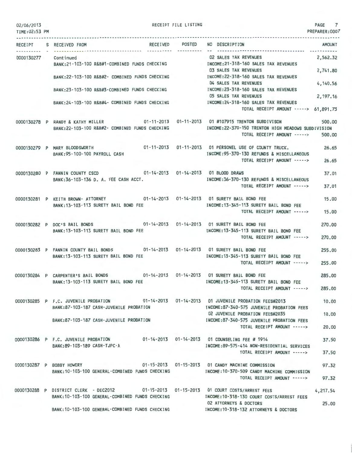| 02/06/2013<br>TIME: 02:53 PM |                                                                                                     | RECEIPT FILE LISTING |                                                                          | PAGE 7<br>PREPARER: 0007 |
|------------------------------|-----------------------------------------------------------------------------------------------------|----------------------|--------------------------------------------------------------------------|--------------------------|
|                              | RECEIPT S RECEIVED FROM                                                                             | RECEIVED POSTED      | NO DESCRIPTION                                                           | AMOUNT                   |
|                              |                                                                                                     |                      |                                                                          |                          |
| 0000130277                   | Continued                                                                                           |                      | 02 SALES TAX REVENUES                                                    | 2.562.32                 |
|                              | BANK:21-103-100 R&B#1-COMBINED FUNDS CHECKING MANUSIC INCOME:21-318-160 SALES TAX REVENUES          |                      |                                                                          |                          |
|                              |                                                                                                     |                      | 03 SALES TAX REVENUES                                                    | 2,741.80                 |
|                              | BANK:22-103-100 R&B#2- COMBINED FUNDS CHECKING                                                      |                      | INCOME:22-318-160 SALES TAX REVENUES<br>04 SALES TAX REVENUES            |                          |
|                              | BANK:23-103-100 R&B#3-COMBINED FUNDS CHECKING                                                       |                      | INCOME:23-318-160 SALES TAX REVENUES                                     | 4,140.56                 |
|                              |                                                                                                     |                      | <b>05 SALES TAX REVENUES</b>                                             | 2, 197. 16               |
|                              | BANK: 24-103-100 R&B#4- COMBINED FUNDS CHECKING                                                     |                      | INCOME: 24-318-160 SALES TAX REVENUES                                    |                          |
|                              |                                                                                                     |                      | TOTAL RECEIPT AMOUNT -----> 61,891.73                                    |                          |
|                              | 0000130278 P RANDY & KATHY MILLER 01-11-2013 01-11-2013 01 #107915 TRENTON SUBDIVISON               |                      |                                                                          |                          |
|                              | BANK:22-103-100 R&B#2- COMBINED FUNDS CHECKING                                                      |                      | INCOME: 22-370-150 TRENTON HIGH MEADOWS SUBDIVISION                      | 500,00                   |
|                              |                                                                                                     |                      | TOTAL RECEIPT AMOUNT ----->                                              | 500,00                   |
|                              |                                                                                                     |                      |                                                                          |                          |
|                              | 0000130279 P MARY BLOODSWORTH 01-11-2013 01-11-2013 01 PERSONEL USE OF COUNTY TRUCK.                |                      | INCOME: 95-370-130 REFUNDS & MISCELLANEOUS                               | 26.65                    |
|                              | BANK: 95-100-100 PAYROLL CASH                                                                       |                      | TOTAL RECEIPT AMOUNT ----->                                              | 26.65                    |
|                              |                                                                                                     |                      |                                                                          |                          |
|                              | 0000130280 P FANNIN COUNTY CSCD 01-14-2013 01-14-2013 01 BLOOD DRAWS                                |                      |                                                                          | 37.01                    |
|                              | BANK:36-103-136 D. A. FEE CASH ACCT.                                                                |                      | INCOME: 36-370-130 REFUNDS & MISCELLANEOUS                               |                          |
|                              |                                                                                                     |                      | TOTAL RECEIPT AMOUNT ----->                                              | 37.01                    |
|                              | 0000130281 P KEITH BROWN- ATTORNEY 01-14-2013 01-14-2013 01 SURETY BAIL BOND FEE                    |                      |                                                                          | 15.00                    |
|                              | BANK:13-103-113 SURETY BAIL BOND FEE                                                                |                      | INCOME:13-345-113 SURETY BAIL BOND FEE                                   |                          |
|                              |                                                                                                     |                      | TOTAL RECEIPT AMOUNT ----->                                              | 15.00                    |
|                              | 0000130282 P DOC'S BAIL BONDS 01-14-2013 01-14-2013 01 SURETY BAIL BOND FEE                         |                      |                                                                          | 270,00                   |
|                              | BANK: 13-103-113 SURETY BAIL BOND FEE                                                               |                      | INCOME: 13-345-113 SURETY BAIL BOND FEE                                  |                          |
|                              |                                                                                                     |                      | TOTAL RECEIPT AMOUNT ----->                                              | 270,00                   |
|                              | 0000130283 P FANNIN COUNTY BAIL BONDS 01-14-2013 01-14-2013 01 SURETY BAIL BOND FEE                 |                      |                                                                          | 255.00                   |
|                              | BANK: 13-103-113 SURETY BAIL BOND FEE                                                               |                      | INCOME: 13-345-113 SURETY BAIL BOND FEE                                  |                          |
|                              |                                                                                                     |                      | TOTAL RECEIPT AMOUNT ----->                                              | 255,00                   |
|                              |                                                                                                     |                      |                                                                          |                          |
|                              | 0000130284 P CARPENTER'S BAIL BONDS 01-14-2013 01-14-2013 01 SURETY BAIL BOND FEE                   |                      |                                                                          | 285.00                   |
|                              | BANK:13-103-113 SURETY BAIL BOND FEE MANUS INCOME:13-345-113 SURETY BAIL BOND FEE                   |                      |                                                                          |                          |
|                              |                                                                                                     |                      | TOTAL RECEIPT AMOUNT ----->                                              | 285,00                   |
|                              | 0000130285 P F.C. JUVENILE PROBATION 01-14-2013 01-14-2013 01 JUVENILE PROBATION FEES#2013          |                      |                                                                          | 10.00                    |
|                              | BANK:87-103-187 CASH-JUVENILE PROBATION                                                             |                      | INCOME:87-340-575 JUVENILE PROBATION FEES                                |                          |
|                              |                                                                                                     |                      | 02 JUVENILE PROBATION FEES#2035                                          | 10.00                    |
|                              | BANK:87-103-187 CASH-JUVENILE PROBATION                                                             |                      | INCOME:87-340-575 JUVENILE PROBATION FEES<br>TOTAL RECEIPT AMOUNT -----> | 20,00                    |
|                              |                                                                                                     |                      |                                                                          |                          |
|                              | 0000130286 P F.C. JUVENILE PROBATION 01-14-2013 01-14-2013 01 COUNSELING FEE # 1914                 |                      |                                                                          | 37.50                    |
|                              | BANK: 89-103-189 CASH-TJPC-A                                                                        |                      | INCOME:89-575-414 NON-RESIDENTIAL SERVICES                               |                          |
|                              |                                                                                                     |                      | TOTAL RECEIPT AMOUNT ----->                                              | 37.50                    |
|                              | 0000130287 P BOBBY HOWERY 01-15-2013 01-15-2013 01 CANDY MACHINE COMMISSION                         |                      |                                                                          | 97.32                    |
|                              | BANK:10-103-100 GENERAL-COMBINED FUNDS CHECKING METHODIC INCOME:10-370-509 CANDY MACHINE COMMISSION |                      |                                                                          |                          |
|                              |                                                                                                     |                      | TOTAL RECEIPT AMOUNT ----->                                              | 97.32                    |
|                              | 0000130288 P DISTRICT CLERK - DEC2012 01-15-2013 01-15-2013 01 COURT COSTS/ARREST FEES 4,217.54     |                      |                                                                          |                          |
|                              | BANK:10-103-100 GENERAL-COMBINED FUNDS CHECKING                                                     |                      | INCOME:10-318-130 COURT COSTS/ARREST FEES                                |                          |
|                              |                                                                                                     |                      | <b>02 ATTORNEYS &amp; DOCTORS</b>                                        | 25.00                    |
|                              | BANK:10-103-100 GENERAL-COMBINED FUNDS CHECKING NOOME:10-318-132 ATTORNEYS & DOCTORS                |                      |                                                                          |                          |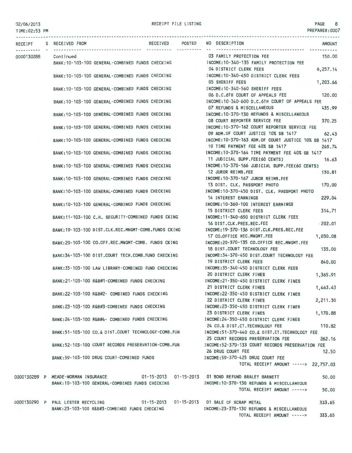#### TIME:02:53 PM

PREPARER:0007

|            | RECEIVED POSTED<br>RECEIPT S RECEIVED FROM                                              | NO DESCRIPTION<br><b>AMOUNT</b>                                                                      |  |  |
|------------|-----------------------------------------------------------------------------------------|------------------------------------------------------------------------------------------------------|--|--|
|            | Continued                                                                               | 03 FAMILY PROTECTION FEE<br>150.00                                                                   |  |  |
| 0000130288 | BANK:10-103-100 GENERAL-COMBINED FUNDS CHECKING MODE:10-340-135 FAMILY PROTECTION FEE   |                                                                                                      |  |  |
|            |                                                                                         | 04 DISTRICT CLERK FEES<br>6, 257.14                                                                  |  |  |
|            | BANK: 10-103-100 GENERAL-COMBINED FUNDS CHECKING                                        | INCOME: 10-340-450 DISTRICT CLERK FEES                                                               |  |  |
|            |                                                                                         | <b>05 SHERIFF FEES</b><br>1,203.66                                                                   |  |  |
|            | BANK: 10-103-100 GENERAL-COMBINED FUNDS CHECKING                                        | INCOME: 10-340-560 SHERIFF FEES                                                                      |  |  |
|            |                                                                                         | 06 D.C.6TH COURT OF APPEALS FEE<br>120,00                                                            |  |  |
|            | BANK: 10-103-100 GENERAL-COMBINED FUNDS CHECKING                                        | INCOME:10-340-600 D.C.6TH COURT OF APPEALS FEE                                                       |  |  |
|            |                                                                                         | 07 REFUNDS & MISCELLANEOUS<br>435.99                                                                 |  |  |
|            | BANK: 10-103-100 GENERAL-COMBINED FUNDS CHECKING                                        | INCOME:10-370-130 REFUNDS & MISCELLANEOUS                                                            |  |  |
|            |                                                                                         | 370.25<br>08 COURT REPORTER SERVICE FEE                                                              |  |  |
|            | BANK:10-103-100 GENERAL-COMBINED FUNDS CHECKING                                         | INCOME: 10-370-162 COURT REPORTER SERVICE FEE                                                        |  |  |
|            |                                                                                         | 09 ADM.OF COURT JUSTICE 10% SB 1417<br>62.43<br>INCOME: 10-370-163 ADM. OF COURT JUSTICE 10% SB 1417 |  |  |
|            | BANK: 10-103-100 GENERAL-COMBINED FUNDS CHECKING                                        | 10 TIME PAYMENT FEE 40% SB 1417<br>249.74                                                            |  |  |
|            | BANK:10-103-100 GENERAL-COMBINED FUNDS CHECKING                                         | INCOME:10-370-164 TIME PAYMENT FEE 40% SB 1417                                                       |  |  |
|            |                                                                                         | 11 JUDICIAL SUPP.FEE(60 CENTS)<br>16.63                                                              |  |  |
|            | BANK: 10-103-100 GENERAL-COMBINED FUNDS CHECKING                                        | INCOME: 10-370-166 JUDICIAL SUPP.FEE(60 CENTS)                                                       |  |  |
|            |                                                                                         | 12 JUROR REIMB.FEE<br>130.81                                                                         |  |  |
|            | BANK: 10-103-100 GENERAL-COMBINED FUNDS CHECKING                                        | INCOME: 10-370-167 JUROR REIMB.FEE                                                                   |  |  |
|            |                                                                                         | 170.00<br>13 DIST. CLK. PASSPORT PHOTO                                                               |  |  |
|            | BANK: 10-103-100 GENERAL-COMBINED FUNDS CHECKING                                        | INCOME:10-370-450 DIST. CLK. PASSPORT PHOTO                                                          |  |  |
|            |                                                                                         | 229.04<br><b>14 INTEREST EARNINGS</b>                                                                |  |  |
|            | BANK: 10-103-100 GENERAL-COMBINED FUNDS CHECKING                                        | INCOME: 10-360-100 INTEREST EARNINGS                                                                 |  |  |
|            |                                                                                         | 15 DISTRICT CLERK FEES<br>314.71                                                                     |  |  |
|            | BANK:11-103-100 C.H. SECURITY-COMBINED FUNDS CKING                                      | INCOME: 11-340-650 DISTRICT CLERK FEES                                                               |  |  |
|            |                                                                                         | $-202.01$<br>16 DIST.CLK.PRES.REC.FEE<br>INCOME: 19-370-136 DIST.CLK.PRES.REC.FEE                    |  |  |
|            | BANK:19-103-100 DIST.CLK.REC.MNGMT-COMB.FUNDS CKING                                     | 1,030.08<br>17 CO.OFFICE REC.MNGMT.FEE                                                               |  |  |
|            | BANK:20-103-100 CO.OFF.REC.MNGMT-COMB. FUNDS CKING                                      | INCOME:20-370-135 CO.OFFICE REC.MNGMT.FEE                                                            |  |  |
|            |                                                                                         | 135.00<br>18 DIST.COURT TECHNOLOGY FEE                                                               |  |  |
|            | BANK:34-103-100 DIST.COURT TECH.COMB.FUND CHECKING                                      | INCOME:34-370-450 DIST.COURT TECHNOLOGY FEE                                                          |  |  |
|            |                                                                                         | <b>19 DISTRICT CLERK FEES</b><br>840.00                                                              |  |  |
|            | BANK:35-103-100 LAW LIBRARY-COMBINED FUND CHECKING                                      | INCOME:35-340-450 DISTRICT CLERK FEES                                                                |  |  |
|            |                                                                                         | 20 DISTRICT CLERK FINES<br>1,365.91                                                                  |  |  |
|            | BANK: 21-103-100 R&B#1-COMBINED FUNDS CHECKING                                          | INCOME: 21-350-450 DISTRICT CLERK FINES                                                              |  |  |
|            |                                                                                         | 21 DISTRICT CLERK FINES<br>1,463.43                                                                  |  |  |
|            | BANK:22-103-100 R&B#2- COMBINED FUNDS CHECKING                                          | INCOME:22-350-450 DISTRICT CLERK FINES                                                               |  |  |
|            |                                                                                         | 22 DISTRICT CLERK FINES<br>2,211.30                                                                  |  |  |
|            | BANK:23-103-100 R&B#3-COMBINED FUNDS CHECKING                                           | INCOME: 23-350-450 DISTRICT CLERK FINES<br>1,170.88<br>23 DISTRICT CLERK FINES                       |  |  |
|            | BANK:24-103-100 R&B#4- COMBINED FUNDS CHECKING                                          | INCOME: 24-350-450 DISTRICT CLERK FINES                                                              |  |  |
|            |                                                                                         | 110.82<br>24 CO.& DIST.CT.TECHNOLOGY FEE                                                             |  |  |
|            | BANK:51-103-100 CO.& DIST.COURT TECHNOLOGY-COMB.FUN                                     | INCOME:51-370-440 CO.& DIST.CT. TECHNOLOGY FEE                                                       |  |  |
|            |                                                                                         | 262.16<br>25 COURT RECORDS PRESERVATION FEE                                                          |  |  |
|            | BANK:52-103-100 COURT RECORDS PRESERVATION-COMB.FUN                                     | INCOME:52-370-133 COURT RECORDS PRESERVATION FEE                                                     |  |  |
|            |                                                                                         | 26 DRUG COURT FEE<br>12.50                                                                           |  |  |
|            | BANK: 59-103-100 DRUG COURT-COMBINED FUNDS                                              | INCOME: 59-370-425 DRUG COURT FEE                                                                    |  |  |
|            |                                                                                         | TOTAL RECEIPT AMOUNT -----> 22,757.03                                                                |  |  |
|            |                                                                                         |                                                                                                      |  |  |
|            | 0000130289 P MEADE-NORMAN INSURANCE 01-15-2013 01-15-2013 01 BOND REFUND BRALEY BARNETT | 50.00                                                                                                |  |  |
|            | BANK: 10-103-100 GENERAL-COMBINED FUNDS CHECKING                                        | INCOME: 10-370-130 REFUNDS & MISCELLANEOUS<br>50.00<br>TOTAL RECEIPT AMOUNT ----->                   |  |  |
|            |                                                                                         |                                                                                                      |  |  |
|            | 0000130290 P PAUL LESTER RECYCLING                                                      | 01-15-2013  01-15-2013  01 SALE OF SCRAP METAL<br>333.65                                             |  |  |
|            | BANK: 23-103-100 R&B#3-COMBINED FUNDS CHECKING                                          | INCOME: 23-370-130 REFUNDS & MISCELLANEOUS                                                           |  |  |
|            |                                                                                         | TOTAL RECEIPT AMOUNT -----><br>333.65                                                                |  |  |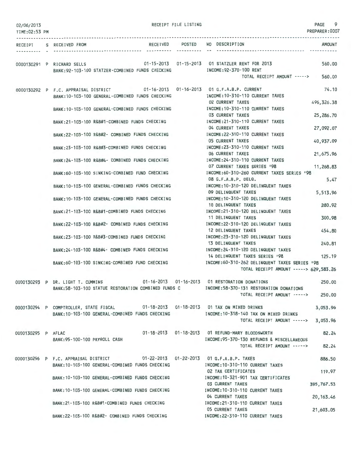| 02/06/2013<br>TIME:02:53 PM | RECEIPT FILE LISTING                                                                                                                 |                                                                                                  | 9<br>PAGE<br>PREPARER:0007 |
|-----------------------------|--------------------------------------------------------------------------------------------------------------------------------------|--------------------------------------------------------------------------------------------------|----------------------------|
|                             | RECEIPT S RECEIVED FROM                                                                                                              | RECEIVED POSTED NO DESCRIPTION                                                                   | AMOUNT                     |
|                             | ----------- -----------                                                                                                              |                                                                                                  |                            |
|                             | 01-15-2013  01-15-2013  01 STATZLER RENT FOR 2013<br>0000130291 P RICHARD SELLS<br>BANK: 92-103-100 STATZER-COMBINED FUNDS CHECKING  | INCOME: 92-370-100 RENT                                                                          | 560,00                     |
|                             |                                                                                                                                      | TOTAL RECEIPT AMOUNT ----->                                                                      | 560.00                     |
|                             | 0000130292 P F.C. APPRAISAL DISTRICT 01-16-2013 01-16-2013 01 G.F.A.B.P. CURRENT<br>BANK: 10-103-100 GENERAL-COMBINED FUNDS CHECKING | INCOME: 10-310-110 CURRENT TAXES                                                                 | 74.10                      |
|                             | BANK:10-103-100 GENERAL-COMBINED FUNDS CHECKING                                                                                      | <b>02 CURRENT TAXES</b><br>INCOME: 10-310-110 CURRENT TAXES                                      | 496, 326. 38               |
|                             | BANK:21-103-100 R&B#1-COMBINED FUNDS CHECKING                                                                                        | <b>03 CURRENT TAXES</b><br>INCOME: 21-310-110 CURRENT TAXES                                      | 25,286.70                  |
|                             |                                                                                                                                      | 04 CURRENT TAXES<br>INCOME: 22-310-110 CURRENT TAXES                                             | 27,092.07                  |
|                             | RANK: 22-103-100 R&B#2- COMBINED FUNDS CHECKING                                                                                      | <b>05 CURRENT TAXES</b>                                                                          | 40,937.09                  |
|                             | BANK:23-103-100 R&B#3-COMBINED FUNDS CHECKING                                                                                        | INCOME: 23-310-110 CURRENT TAXES<br>06 CURRENT TAXES                                             | 21,675.96                  |
|                             | BANK: 24-103-100 R&B#4- COMBINED FUNDS CHECKING                                                                                      | INCOME: 24-310-110 CURRENT TAXES                                                                 |                            |
|                             | BANK:60-103-100 SINKING-COMBINED FUND CHECKING                                                                                       | 07 CURRENT TAXES SERIES '98<br>INCOME:60-310-260 CURRENT TAXES SERIES '98                        | 11,268.83                  |
|                             | BANK: 10-103-100 GENERAL-COMBINED FUNDS CHECKING                                                                                     | 08 G.F.A.B.P. DELQ.<br>INCOME: 10-310-120 DELINQUENT TAXES                                       | 5.47                       |
|                             |                                                                                                                                      | 09 DELINQUENT TAXES<br>INCOME: 10-310-120 DELINQUENT TAXES                                       | 5,513.96                   |
|                             | BANK: 10-103-100 GENERAL-COMBINED FUNDS CHECKING                                                                                     | 10 DELINQUENT TAXES                                                                              | 280.92                     |
|                             | BANK:21-103-100 R&B#1-COMBINED FUNDS CHECKING                                                                                        | INCOME:21-310-120 DELINQUENT TAXES<br>11 DELINQUENT TAXES                                        | 300.98                     |
|                             | BANK:22-103-100 R&B#2- COMBINED FUNDS CHECKING                                                                                       | INCOME: 22-310-120 DELINQUENT TAXES<br>12 DELINQUENT TAXES                                       | 454.80                     |
|                             | BANK:23-103-100 R&B#3-COMBINED FUNDS CHECKING                                                                                        | INCOME:23-310-120 DELINQUENT TAXES                                                               |                            |
|                             | BANK: 24-103-100 R&B#4- COMBINED FUNDS CHECKING                                                                                      | 13 DELINQUENT TAXES<br>INCOME:24-310-120 DELINQUENT TAXES                                        | 240.81                     |
|                             | BANK:60-103-100 SINKING-COMBINED FUND CHECKING NORTH INCOME:60-310-262 DELINQUENT TAXES SERIES '98                                   | 14 DELINQUENT TAXES SERIES '98                                                                   | 125.19                     |
|                             |                                                                                                                                      | TOTAL RECEIPT AMOUNT -----> 629,583.26                                                           |                            |
|                             | 0000130293 P DR. LIGHT T. CUMMINS 01-16-2013 01-16-2013 01 RESTORATION DONATIONS                                                     |                                                                                                  | 250.00                     |
|                             | BANK:58-103-100 STATUE RESTORATION COMBINED FUNDS C                                                                                  | INCOME: 58-370-131 RESTORATION DONATIONS<br>TOTAL RECEIPT AMOUNT ----->                          | 250,00                     |
|                             | 0000130294 P COMPTROLLER, STATE FISCAL 01-18-2013 01-18-2013 01 TAX ON MIXED DRINKS                                                  |                                                                                                  |                            |
|                             | BANK:10-103-100 GENERAL-COMBINED FUNDS CHECKING [NCOME:10-318-140 TAX ON MIXED DRINKS                                                |                                                                                                  | 3,053.96                   |
|                             |                                                                                                                                      | TOTAL RECEIPT AMOUNT -----> 3,053.96                                                             |                            |
| 0000130295 P AFLAC          |                                                                                                                                      | 01-18-2013  01-18-2013  01 REFUND-MARY BLOODSWORTH<br>INCOME: 95-370-130 REFUNDS & MISCELLANEOUS | 82.24                      |
|                             | BANK: 95-100-100 PAYROLL CASH                                                                                                        | TOTAL RECEIPT AMOUNT ----->                                                                      | 82.24                      |
|                             | 0000130296 P F.C. APPRAISAL DISTRICT 01-22-2013 01-22-2013 01 G.F.A.B.P. TAXES<br>BANK: 10-103-100 GENERAL-COMBINED FUNDS CHECKING   | INCOME:10-310-110 CURRENT TAXES                                                                  | 886.50                     |
|                             |                                                                                                                                      | <b>02 TAX CERTIFICATES</b>                                                                       | 119.97                     |
|                             | BANK: 10-103-100 GENERAL-COMBINED FUNDS CHECKING                                                                                     | INCOME: 10-321-901 TAX CERTIFICATES<br><b>03 CURRENT TAXES</b>                                   | 395,767.53                 |
|                             | BANK: 10-103-100 GENERAL-COMBINED FUNDS CHECKING                                                                                     | INCOME:10-310-110 CURRENT TAXES<br>04 CURRENT TAXES                                              | 20, 163.46                 |
|                             | BANK:21-103-100 R&B#1-COMBINED FUNDS CHECKING                                                                                        | INCOME:21-310-110 CURRENT TAXES<br><b>05 CURRENT TAXES</b>                                       |                            |
|                             | BANK:22-103-100 R&B#2- COMBINED FUNDS CHECKING                                                                                       | INCOME: 22-310-110 CURRENT TAXES                                                                 | 21,603.05                  |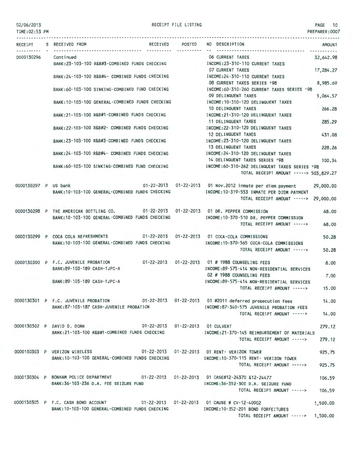| 02/06/2013 |  |  |  |
|------------|--|--|--|
|            |  |  |  |

RECEIPT FILE LISTING **PAGE 10** 

| TIME:02:53 PM        |                                                                                                                                                                            |                 | PREPARER: 0007                                                                                       |
|----------------------|----------------------------------------------------------------------------------------------------------------------------------------------------------------------------|-----------------|------------------------------------------------------------------------------------------------------|
|                      | RECEIPT S RECEIVED FROM                                                                                                                                                    | RECEIVED POSTED | NO DESCRIPTION<br><b>AMOUNT</b><br>-------------------------------------                             |
| 0000130296           | Continued<br>BANK: 23-103-100 R&B#3-COMBINED FUNDS CHECKING                                                                                                                |                 | 06 CURRENT TAXES<br>32,642.98<br>INCOME: 23-310-110 CURRENT TAXES                                    |
|                      | BANK: 24-103-100 R&B#4- COMBINED FUNDS CHECKING                                                                                                                            |                 | 07 CURRENT TAXES<br>17,284,27<br>INCOME: 24-310-110 CURRENT TAXES                                    |
|                      |                                                                                                                                                                            |                 | 08 CURRENT TAXES SERIES '98<br>8,985.69<br>INCOME:60-310-260 CURRENT TAXES SERIES '98                |
|                      | BANK:60-103-100 SINKING-COMBINED FUND CHECKING                                                                                                                             |                 | 09 DELINQUENT TAXES<br>5,064.57<br>INCOME: 10-310-120 DELINQUENT TAXES                               |
|                      | BANK: 10-103-100 GENERAL-COMBINED FUNDS CHECKING                                                                                                                           |                 | 10 DELINQUENT TAXES<br>266.28                                                                        |
|                      | BANK: 21-103-100 R&B#1-COMBINED FUNDS CHECKING                                                                                                                             |                 | INCOME: 21-310-120 DELINQUENT TAXES<br>11 DELINQUENT TAXES<br>285.29                                 |
|                      | BANK: 22-103-100 R&B#2- COMBINED FUNDS CHECKING                                                                                                                            |                 | INCOME: 22-310-120 DELINQUENT TAXES<br>12 DELINQUENT TAXES<br>431.08                                 |
|                      | BANK:23-103-100 R&B#3-COMBINED FUNDS CHECKING                                                                                                                              |                 | INCOME: 23-310-120 DELINQUENT TAXES<br>13 DELINQUENT TAXES<br>228.26                                 |
|                      | BANK: 24-103-100 R&B#4- COMBINED FUNDS CHECKING                                                                                                                            |                 | INCOME: 24-310-120 DELINQUENT TAXES<br>14 DELINQUENT TAXES SERIES '98<br>100.34                      |
|                      | BANK:60-103-100 SINKING-COMBINED FUND CHECKING                                                                                                                             |                 | INCOME:60-310-262 DELINQUENT TAXES SERIES '98<br>TOTAL RECEIPT AMOUNT -----> 503,829.27              |
| 0000130297 P US bank |                                                                                                                                                                            |                 | 01-22-2013  01-22-2013  01 Nov.2012 inmate per diem payment<br>29,000,00                             |
|                      | BANK: 10-103-100 GENERAL-COMBINED FUNDS CHECKING                                                                                                                           |                 | INCOME:10-319-553 INMATE PER DIEM PAYMENT<br>TOTAL RECEIPT AMOUNT -----> 29,000.00                   |
|                      | 0000130298 P THE AMERICAN BOTTLING CO. 01-22-2013 01-22-2013 01 DR. PEPPER COMMISSION                                                                                      |                 | 68.00                                                                                                |
|                      | BANK: 10-103-100 GENERAL-COMBINED FUNDS CHECKING                                                                                                                           |                 | INCOME:10-370-510 DR. PEPPER COMMISSION<br>68.00<br>TOTAL RECEIPT AMOUNT ----->                      |
|                      | 0000130299 P COCA COLA REFRESHMENTS<br>BANK: 10-103-100 GENERAL-COMBINED FUNDS CHECKING                                                                                    |                 | 01-22-2013  01-22-2013  01 COCA-COLA COMMISSIONS<br>50.28<br>INCOME:10-370-565 COCA-COLA COMMISSIONS |
|                      |                                                                                                                                                                            |                 | TOTAL RECEIPT AMOUNT -----><br>50.28                                                                 |
|                      | 0000130300 P F.C. JUVENILE PROBATION 01-22-2013 01-22-2013 01 # 1988 COUNSELING FEES<br>BANK:89-103-189 CASH-TJPC-A                                                        |                 | 8.00<br>INCOME:89-575-414 NON-RESIDENTIAL SERVICES                                                   |
|                      | BANK: 89-103-189 CASH-TJPC-A                                                                                                                                               |                 | 02 # 1988 COUNSELING FEES<br>7,00                                                                    |
|                      |                                                                                                                                                                            |                 | INCOME:89-575-414 NON-RESIDENTIAL SERVICES<br>TOTAL RECEIPT AMOUNT -----><br>15.00                   |
|                      | 0000130301 P F.C. JUVENILE PROBATION 01-22-2013 01-22-2013 01 #2011 deferred prosecution fees                                                                              |                 | 14.00                                                                                                |
|                      | BANK:87-103-187 CASH-JUVENILE PROBATION                                                                                                                                    |                 | INCOME:87-340-575 JUVENILE PROBATION FEES<br>TOTAL RECEIPT AMOUNT -----> 14.00                       |
|                      | 0000130302 P DAVID D. DOAN<br>BANK:21-103-100 R&B#1-COMBINED FUNDS CHECKING                                                                                                |                 | 01-22-2013  01-22-2013  01 CULVERT<br>279.12<br>INCOME:21-370-145 REIMBURSEMENT OF MATERIALS         |
|                      |                                                                                                                                                                            |                 | 279.12<br>TOTAL RECEIPT AMOUNT ----->                                                                |
|                      | 0000130303 P VERIZON WIRELESS 01-22-2013 01-22-2013 01 RENT- VERIZON TOWER<br>BANK:10-103-100 GENERAL-COMBINED FUNDS CHECKING METALLINICOME:10-370-115 RENT- VERIZON TOWER |                 | 925.75                                                                                               |
|                      |                                                                                                                                                                            |                 | 925.75<br>TOTAL RECEIPT AMOUNT ----->                                                                |
|                      | 0000130304 P BONHAM POLICE DEPARTMENT 01-22-2013 01-22-2013 01 CASE#12-24370 &12-24477                                                                                     |                 | 106.59                                                                                               |
|                      | BANK:36-103-236 D.A. FEE SEIZURE FUND                                                                                                                                      |                 | INCOME:36-352-300 D.A. SEIZURE FUND<br>TOTAL RECEIPT AMOUNT -----> 106.59                            |
|                      | 0000130305 P F.C. CASH BOND ACCOUNT 01-22-2013 01-22-2013 01 CAUSE # CV-12-40902<br>BANK: 10-103-100 GENERAL-COMBINED FUNDS CHECKING                                       |                 | 1,500.00<br>INCOME:10-352-201 BOND FORFEITURES                                                       |
|                      |                                                                                                                                                                            |                 | TOTAL RECEIPT AMOUNT -----> 1,500.00                                                                 |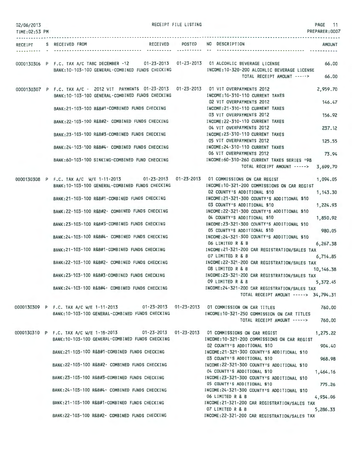| 02/06/2013    |                                                                                                                                                 | RECEIPT FILE LISTING |                                                                            | PAGE 11        |
|---------------|-------------------------------------------------------------------------------------------------------------------------------------------------|----------------------|----------------------------------------------------------------------------|----------------|
| TIME:02:53 PM |                                                                                                                                                 |                      |                                                                            | PREPARER: 0007 |
|               | RECEIVED POSTED<br>RECEIPT S RECEIVED FROM                                                                                                      |                      | NO DESCRIPTION                                                             | AMOUNT         |
|               |                                                                                                                                                 |                      | ------------------------------ ---                                         |                |
|               | 0000130306 P F.C. TAX A/C TABC DECEMBER -12 01-23-2013 01-23-2013 01 ALCOHLIC BEVERAGE LICENSE                                                  |                      |                                                                            | 66.00          |
|               | BANK: 10-103-100 GENERAL-COMBINED FUNDS CHECKING                                                                                                |                      | INCOME:10-320-200 ALCOHLIC BEVERAGE LICENSE<br>TOTAL RECEIPT AMOUNT -----> | 66.00          |
|               |                                                                                                                                                 |                      |                                                                            |                |
|               | 0000130307 P F.C. TAX A/C - 2012 VIT PAYMENTS 01-23-2013 01-23-2013 01 VIT OVERPAYMENTS 2012<br>BANK:10-103-100 GENERAL-COMBINED FUNDS CHECKING |                      | INCOME: 10-310-110 CURRENT TAXES                                           | 2,959.70       |
|               |                                                                                                                                                 |                      | 02 VIT OVERPAYMENTS 2012                                                   | 146.47         |
|               | BANK:21-103-100 R&B#1-COMBINED FUNDS CHECKING                                                                                                   |                      | INCOME: 21-310-110 CURRENT TAXES<br>03 VIT OVERPAYMENTS 2012               | 156,92         |
|               | BANK: 22-103-100 R&B#2- COMBINED FUNDS CHECKING                                                                                                 |                      | INCOME: 22-310-110 CURRENT TAXES                                           |                |
|               |                                                                                                                                                 |                      | 04 VIT OVERPAYMENTS 2012                                                   | 237.12         |
|               | BANK:23-103-100 R&B#3-COMBINED FUNDS CHECKING                                                                                                   |                      | INCOME:23-310-110 CURRENT TAXES<br>05 VIT OVERPAYMENTS 2012                | 125.55         |
|               | BANK:24-103-100 R&B#4- COMBINED FUNDS CHECKING                                                                                                  |                      | INCOME: 24-310-110 CURRENT TAXES                                           |                |
|               | BANK:60-103-100 SINKING-COMBINED FUND CHECKING                                                                                                  |                      | 06 VIT OVERPAYMENTS 2012<br>INCOME:60-310-260 CURRENT TAXES SERIES '98     | 73.94          |
|               |                                                                                                                                                 |                      | TOTAL RECEIPT AMOUNT -----> 3,699.70                                       |                |
|               | 0000130308 P F.C. TAX A/C W/E 1-11-2013 01-23-2013 01-23-2013 01 COMMISSIONS ON CAR REGIST                                                      |                      |                                                                            | 1,094.05       |
|               | BANK: 10-103-100 GENERAL-COMBINED FUNDS CHECKING                                                                                                |                      | INCOME:10-321-200 COMMISSIONS ON CAR REGIST                                |                |
|               | BANK:21-103-100 R&B#1-COMBINED FUNDS CHECKING                                                                                                   |                      | 02 COUNTY'S ADDITIONAL \$10<br>INCOME:21-321-300 COUNTY'S ADDITIONAL \$10  | 1,143.30       |
|               |                                                                                                                                                 |                      | 03 COUNTY'S ADDITIONAL \$10<br>INCOME:22-321-300 COUNTY'S ADDITIONAL \$10  | 1,224.93       |
|               | BANK: 22-103-100 R&B#2- COMBINED FUNDS CHECKING                                                                                                 |                      | 04 COUNTY'S ADDITIONAL \$10                                                | 1,850.92       |
|               | BANK:23-103-100 R&B#3-COMBINED FUNDS CHECKING                                                                                                   |                      | INCOME:23-321-300 COUNTY'S ADDITIONAL \$10<br>05 COUNTY'S ADDITIONAL \$10  | 980.05         |
|               | BANK: 24-103-100 R&B#4- COMBINED FUNDS CHECKING                                                                                                 |                      | INCOME: 24-321-300 COUNTY'S ADDITIONAL \$10                                |                |
|               | BANK: 21-103-100 R&B#1-COMBINED FUNDS CHECKING                                                                                                  |                      | 06 LIMITED R & B<br>INCOME: 21-321-200 CAR REGISTRATION/SALES TAX          | 6,267.38       |
|               |                                                                                                                                                 |                      | 07 LIMITED R & B                                                           | 6,714.85       |
|               | BANK:22-103-100 R&B#2- COMBINED FUNDS CHECKING                                                                                                  |                      | INCOME:22-321-200 CAR REGISTRATION/SALES TAX<br>08 LIMITED R & B           | 10, 146.38     |
|               | BANK: 23-103-100 R&B#3-COMBINED FUNDS CHECKING                                                                                                  |                      | INCOME:23-321-200 CAR REGISTRATION/SALES TAX                               |                |
|               | BANK:24-103-100 R&B#4- COMBINED FUNDS CHECKING THE THOME:24-321-200 CAR REGISTRATION/SALES TAX                                                  |                      | 09 LIMITED R & B                                                           | 5,372,45       |
|               |                                                                                                                                                 |                      | TOTAL RECEIPT AMOUNT -----> 34,794.31                                      |                |
|               | 0000130309 P F.C. TAX A/C W/E 1-11-2013 01-23-2013 01-23-2013 01 COMMISSION ON CAR TITLES                                                       |                      |                                                                            | 760.00         |
|               | BANK: 10-103-100 GENERAL-COMBINED FUNDS CHECKING                                                                                                |                      | INCOME: 10-321-250 COMMISSION ON CAR TITLES                                |                |
|               |                                                                                                                                                 |                      | TOTAL RECEIPT AMOUNT ----->                                                | 760.00         |
|               | 0000130310 P F.C. TAX A/C W/E 1-18-2013 01-23-2013 01-23-2013 01 COMMISSIONS ON CAR REGIST                                                      |                      |                                                                            | 1,275.22       |
|               | BANK: 10-103-100 GENERAL-COMBINED FUNDS CHECKING                                                                                                |                      | INCOME:10-321-200 COMMISSIONS ON CAR REGIST<br>02 COUNTY'S ADDITIONAL \$10 | 904.40         |
|               | BANK:21-103-100 R&B#1-COMBINED FUNDS CHECKING                                                                                                   |                      | INCOME:21-321-300 COUNTY'S ADDITIONAL \$10                                 |                |
|               | BANK:22-103-100 R&B#2- COMBINED FUNDS CHECKING [INCOME:22-321-300 COUNTY'S ADDITIONAL \$10                                                      |                      | 03 COUNTY'S ADDITIONAL \$10                                                | 968.98         |
|               |                                                                                                                                                 |                      | 04 COUNTY'S ADDITIONAL \$10                                                | 1,464.16       |
|               | BANK: 23-103-100 R&B#3-COMBINED FUNDS CHECKING                                                                                                  |                      | INCOME:23-321-300 COUNTY'S ADDITIONAL \$10<br>05 COUNTY'S ADDITIONAL \$10  | 775.26         |
|               | BANK:24-103-100 R&B#4- COMBINED FUNDS CHECKING MORE INCOME:24-321-300 COUNTY'S ADDITIONAL \$10                                                  |                      |                                                                            |                |
|               | BANK:21-103-100 R&B#1-COMBINED FUNDS CHECKING                                                                                                   |                      | 06 LIMITED R & B<br>INCOME:21-321-200 CAR REGISTRATION/SALES TAX           | 4,934.06       |
|               |                                                                                                                                                 |                      | 07 LIMITED R & B                                                           | 5,286.33       |
|               | BANK:22-103-100 R&B#2- COMBINED FUNDS CHECKING                                                                                                  |                      | INCOME:22-321-200 CAR REGISTRATION/SALES TAX                               |                |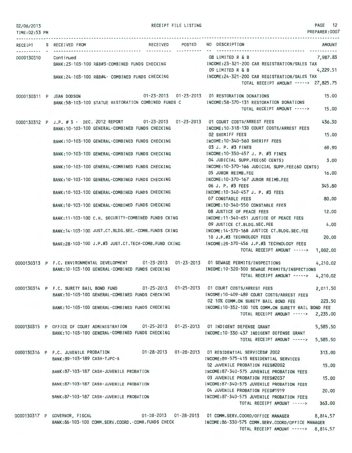| 02/06/2013<br>TIME: 02:53 PM | RECEIPT FILE LISTING                                                                                                                                |            |                                                                                                                                  | PAGE 12<br>PREPARER:0007 |
|------------------------------|-----------------------------------------------------------------------------------------------------------------------------------------------------|------------|----------------------------------------------------------------------------------------------------------------------------------|--------------------------|
|                              | RECEIPT S RECEIVED FROM                                                                                                                             | ---------- | RECEIVED POSTED NO DESCRIPTION                                                                                                   | <b>AMOUNT</b>            |
| 0000130310 Continued         | BANK:23-103-100 R&B#3-COMBINED FUNDS CHECKING THE TROOME:23-321-200 CAR REGISTRATION/SALES TAX                                                      |            | 08 LIMITED R & B<br>09 LIMITED R & B                                                                                             | 7,987.83<br>4,229.51     |
|                              | BANK:24-103-100 R&B#4- COMBINED FUNDS CHECKING [INCOME:24-321-200 CAR REGISTRATION/SALES TAX                                                        |            | TOTAL RECEIPT AMOUNT -----> 27,825.75                                                                                            |                          |
|                              | 0000130311 P JEAN DODSON<br>BANK:58-103-100 STATUE RESTORATION COMBINED FUNDS C                                                                     |            | 01-23-2013  01-23-2013  01 RESTORATION DONATIONS<br>INCOME:58-370-131 RESTORATION DONATIONS<br>TOTAL RECEIPT AMOUNT -----> 15.00 | 15,00                    |
|                              |                                                                                                                                                     |            |                                                                                                                                  |                          |
|                              | 0000130312 P J.P. #3 - DEC. 2012 REPORT 01-23-2013 01-23-2013 01 COURT COSTS/ARREST FEES<br>BANK: 10-103-100 GENERAL-COMBINED FUNDS CHECKING        |            | INCOME: 10-318-130 COURT COSTS/ARREST FEES<br>02 SHERIFF FEES                                                                    | 436.30<br>15.00          |
|                              | BANK: 10-103-100 GENERAL-COMBINED FUNDS CHECKING                                                                                                    |            | INCOME: 10-340-560 SHERIFF FEES                                                                                                  |                          |
|                              | BANK: 10-103-100 GENERAL-COMBINED FUNDS CHECKING                                                                                                    |            | 03 J. P. #3 FINES<br>INCOME: 10-350-457 J. P. #3 FINES                                                                           | 69.90                    |
|                              | BANK:10-103-100 GENERAL-COMBINED FUNDS CHECKING                                                                                                     |            | 04 JUDICIAL SUPP.FEE(60 CENTS)<br>INCOME:10-370-166 JUDICIAL SUPP.FEE(60 CENTS)                                                  | 3.00                     |
|                              | BANK: 10-103-100 GENERAL-COMBINED FUNDS CHECKING                                                                                                    |            | 05 JUROR REIMB.FEE<br>INCOME: 10-370-167 JUROR REIMB.FEE                                                                         | 16,00                    |
|                              | BANK: 10-103-100 GENERAL-COMBINED FUNDS CHECKING                                                                                                    |            | 06 J. P. #3 FEES<br>INCOME:10-340-457 J. P. #3 FEES                                                                              | 345.80                   |
|                              | BANK: 10-103-100 GENERAL-COMBINED FUNDS CHECKING                                                                                                    |            | 07 CONSTABLE FEES<br>INCOME:10-340-550 CONSTABLE FEES                                                                            | 80,00                    |
|                              |                                                                                                                                                     |            | 08 JUSTICE OF PEACE FEES                                                                                                         | 12,00                    |
|                              | BANK: 11-103-100 C.H. SECURITY-COMBINED FUNDS CKING                                                                                                 |            | INCOME:11-340-651 JUSTICE OF PEACE FEES<br>09 JUSTICE CT.BLDG.SEC.FEE                                                            | 4.00                     |
|                              | BANK:14-103-100 JUST.CT.BLDG.SEC.-COMB.FUNDS CKING                                                                                                  |            | INCOME: 14-370-168 JUSTICE CT.BLDG.SEC.FEE<br>10 J.P.#3 TECHNOLOGY FEES                                                          | 20,00                    |
|                              | BANK: 28-103-100 J.P.#3 JUST.CT. TECH-COMB. FUND CKING                                                                                              |            | INCOME:28-370-456 J.P.#3 TECHNOLOGY FEES<br>TOTAL RECEIPT AMOUNT ----->                                                          | 1,002.00                 |
|                              | 0000130313 P F.C. ENVIRONMENTAL DEVELOPMENT 01-23-2013 01-23-2013 01 SEWAGE PERMITS/INSPECTIONS<br>BANK: 10-103-100 GENERAL-COMBINED FUNDS CHECKING |            | INCOME:10-320-300 SEWAGE PERMITS/INSPECTIONS<br>TOTAL RECEIPT AMOUNT -----> 4,210.02                                             | 4,210.02                 |
|                              | 0000130314 P F.C. SURETY BAIL BOND FUND 01-25-2013 01-25-2013 01 COURT COSTS/ARREST FEES<br>BANK: 10-103-100 GENERAL-COMBINED FUNDS CHECKING        |            | INCOME:10-409-489 COURT COSTS/ARREST FEES                                                                                        | 2,011.50                 |
|                              | BANK:10-103-100 GENERAL-COMBINED FUNDS CHECKING INCOME:10-352-100 10% COMM.ON SURETY BAIL BOND FEE                                                  |            | 02 10% COMM.ON SURETY BAIL BOND FEE                                                                                              | 223.50                   |
|                              |                                                                                                                                                     |            | TOTAL RECEIPT AMOUNT $---2,235.00$                                                                                               |                          |
|                              | 0000130315 P OFFICE OF COURT ADMINISTRATION 01-25-2013 01-25-2013 01 INDIGENT DEFENSE GRANT<br>BANK: 10-103-100 GENERAL-COMBINED FUNDS CHECKING     |            | INCOME: 10-330-437 INDIGENT DEFENSE GRANT                                                                                        | 5,585.50                 |
|                              |                                                                                                                                                     |            | TOTAL RECEIPT AMOUNT ----->                                                                                                      | 5,585.50                 |
|                              | 0000130316 P F.C. JUVENILE PROBATION 01-28-2013 01-28-2013 01 RESIDENTIAL SERVICES# 2002<br>BANK:89-103-189 CASH-TJPC-A                             |            | INCOME:89-575-415 RESIDENTIAL SERVICES                                                                                           | 313.00                   |
|                              | BANK:87-103-187 CASH-JUVENILE PROBATION                                                                                                             |            | 02 JUVENILE PROBATION FEES#2002<br>INCOME:87-340-575 JUVENILE PROBATION FEES                                                     | 15.00                    |
|                              | BANK:87-103-187 CASH-JUVENILE PROBATION                                                                                                             |            | 03 JUVENILE PROBATION FEES#2037<br>INCOME:87-340-575 JUVENILE PROBATION FEES                                                     | 15.00                    |
|                              | BANK:87-103-187 CASH-JUVENILE PROBATION                                                                                                             |            | 04 JUVENILE PROBATION FEES#1919<br>INCOME:87-340-575 JUVENILE PROBATION FEES                                                     | 20,00                    |
|                              |                                                                                                                                                     |            | TOTAL RECEIPT AMOUNT ----->                                                                                                      | 363.00                   |
|                              | 0000130317 P GOVERNOR, FISCAL                                                                                                                       |            | 01-28-2013  01-28-2013  01 COMM.SERV.COORD/OFFICE MANAGER                                                                        | 8,814.57                 |

BANK:86·103·100 COMM.SERV.COORD.-COMB.FUNDS CHECK INCOME:86·330·575 COMM.SERV.COORD/OFFICE MANAGER TOTAL RECEIPT AMOUNT -----> 8,814.57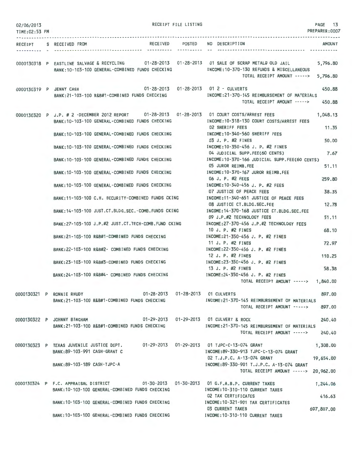| 02/06/2013<br>TIME:02:53 PM |                                                                                                                         | RECEIPT FILE LISTING |                                                                                                                                                                               | PAGE 13<br>PREPARER: 0007 |
|-----------------------------|-------------------------------------------------------------------------------------------------------------------------|----------------------|-------------------------------------------------------------------------------------------------------------------------------------------------------------------------------|---------------------------|
|                             | RECEIPT S RECEIVED FROM                                                                                                 |                      | RECEIVED POSTED NO DESCRIPTION                                                                                                                                                | <b>AMOUNT</b>             |
|                             | BANK: 10-103-100 GENERAL-COMBINED FUNDS CHECKING                                                                        |                      | 0000130318 P EASTLINE SALVAGE & RECYCLING 01-28-2013 01-28-2013 01 SALE OF SCRAP METAL& OLD JAIL<br>INCOME: 10-370-130 REFUNDS & MISCELLANEOUS<br>TOTAL RECEIPT AMOUNT -----> | 5,796.80<br>5,796.80      |
|                             | 0000130319 P JENNY CASH<br>BANK: 21-103-100 R&B#1-COMBINED FUNDS CHECKING                                               |                      | 01-28-2013    01-28-2013    01    2    - CULVERTS<br>INCOME:21-370-145 REIMBURSEMENT OF MATERIALS<br>TOTAL RECEIPT AMOUNT ----->                                              | 450.88<br>450.88          |
|                             | BANK: 10-103-100 GENERAL-COMBINED FUNDS CHECKING                                                                        |                      | 0000130320 P J.P. # 2 -DECEMBER 2012 REPORT 01-28-2013 01-28-2013 01 COURT COSTS/ARREST FEES<br>INCOME:10-318-130 COURT COSTS/ARREST FEES                                     | 1,048.13                  |
|                             | BANK: 10-103-100 GENERAL-COMBINED FUNDS CHECKING                                                                        |                      | <b>02 SHERIFF FEES</b><br>INCOME:10-340-560 SHERIFF FEES                                                                                                                      | 11.35                     |
|                             |                                                                                                                         |                      | 03 J. P. #2 FINES<br>BANK:10-103-100 GENERAL-COMBINED FUNDS CHECKING MODE:10-350-456 J. P. #2 FINES                                                                           | 50.00                     |
|                             |                                                                                                                         |                      | 04 JUDICIAL SUPP.FEE(60 CENTS)<br>BANK:10-103-100 GENERAL-COMBINED FUNDS CHECKING NORTH INCOME:10-370-166 JUDICIAL SUPP.FEE(60 CENTS)                                         | 7.67                      |
|                             | BANK: 10-103-100 GENERAL-COMBINED FUNDS CHECKING                                                                        |                      | 05 JUROR REIMB.FEE<br>INCOME:10-370-167 JUROR REIMB.FEE                                                                                                                       | 51,11                     |
|                             | BANK: 10-103-100 GENERAL-COMBINED FUNDS CHECKING                                                                        |                      | 06 J. P. #2 FEES<br>INCOME:10-340-456 J. P. #2 FEES                                                                                                                           | 259.80                    |
|                             | BANK:11-103-100 C.H. SECURITY-COMBINED FUNDS CKING                                                                      |                      | 07 JUSTICE OF PEACE FEES<br>INCOME:11-340-651 JUSTICE OF PEACE FEES                                                                                                           | 38.35                     |
|                             |                                                                                                                         |                      | 08 JUSTICE CT.BLDG.SEC.FEE                                                                                                                                                    | 12.78                     |
|                             | BANK:14-103-100 JUST.CT.BLDG.SEC.-COMB.FUNDS CKING                                                                      |                      | INCOME: 14-370-168 JUSTICE CT.BLDG.SEC.FEE<br>09 J.P.#2 TECHNOLOGY FEES                                                                                                       | 51.11                     |
|                             | BANK:27-103-100 J.P.#2 JUST.CT.TECH-COMB.FUND CKING                                                                     |                      | INCOME:27-370-456 J.P.#2 TECHNOLOGY FEES<br>10 J. P. #2 FINES                                                                                                                 | 68.10                     |
|                             | BANK:21-103-100 R&B#1-COMBINED FUNDS CHECKING                                                                           |                      | INCOME:21-350-456 J. P. #2 FINES<br>11 J. P. #2 FINES                                                                                                                         | 72.97                     |
|                             | BANK:22-103-100 R&B#2- COMBINED FUNDS CHECKING                                                                          |                      | INCOME:22-350-456 J. P. #2 FINES<br>12 J. P. #2 FINES                                                                                                                         | 110.25                    |
|                             | BANK:23-103-100 R&B#3-COMBINED FUNDS CHECKING                                                                           |                      | INCOME:23-350-456 J. P. #2 FINES<br>13 J. P. #2 FINES                                                                                                                         | 58.38                     |
|                             | BANK:24-103-100 R&B#4- COMBINED FUNDS CHECKING                                                                          |                      | INCOME:24-350-456 J. P. #2 FINES<br>TOTAL RECEIPT AMOUNT -----> 1,840.00                                                                                                      |                           |
|                             |                                                                                                                         |                      |                                                                                                                                                                               |                           |
|                             | 0000130321 P RONNIE RHUDY<br>BANK: 21-103-100 R&B#1-COMBINED FUNDS CHECKING                                             |                      | 01-28-2013  01-28-2013  01 CULVERTS<br>INCOME: 21-370-145 REIMBURSEMENT OF MATERIALS                                                                                          | 897.00                    |
|                             |                                                                                                                         |                      | TOTAL RECEIPT AMOUNT ----->                                                                                                                                                   | 897.00                    |
|                             | 0000130322 P JOHNNY BINGHAM<br>BANK: 21-103-100 R&B#1-COMBINED FUNDS CHECKING                                           |                      | 01-29-2013  01-29-2013  01 CULVERT & ROCK<br>INCOME:21-370-145 REIMBURSEMENT OF MATERIALS                                                                                     | 240.40                    |
|                             |                                                                                                                         |                      | TOTAL RECEIPT AMOUNT ----->                                                                                                                                                   | 240.40                    |
|                             | 0000130323 P TEXAS JUVENILE JUSTICE DEPT. 01-29-2013 01-29-2013 01 TJPC-C-13-074 GRANT<br>BANK: 89-103-991 CASH-GRANT C |                      | INCOME:89-330-913 TJPC-C-13-074 GRANT                                                                                                                                         | 1,308.00                  |
|                             | BANK: 89-103-189 CASH-TJPC-A                                                                                            |                      | 02 T.J.P.C. A-13-074 GRANT<br>INCOME:89-330-901 T.J.P.C. A-13-074 GRANT<br>TOTAL RECEIPT AMOUNT -----> 20,962.00                                                              | 19,654.00                 |
|                             | 0000130324 P F.C. APPRAISAL DISTRICT<br>BANK: 10-103-100 GENERAL-COMBINED FUNDS CHECKING                                |                      | 01-30-2013  01-30-2013  01 G.F.A.B.P. CURRENT TAXES<br>INCOME: 10-310-110 CURRENT TAXES                                                                                       | 1,244.06                  |
|                             | BANK: 10-103-100 GENERAL-COMBINED FUNDS CHECKING                                                                        |                      | 02 TAX CERTIFICATES<br>INCOME: 10-321-901 TAX CERTIFICATES                                                                                                                    | 416.63                    |
|                             | BANK: 10-103-100 GENERAL-COMBINED FUNDS CHECKING                                                                        |                      | <b>03 CURRENT TAXES</b><br>INCOME: 10-310-110 CURRENT TAXES                                                                                                                   | 697,807.00                |
|                             |                                                                                                                         |                      |                                                                                                                                                                               |                           |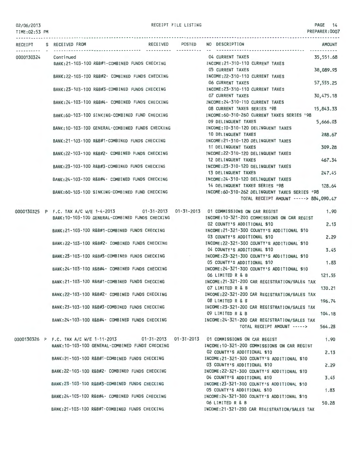RECEIPT FILE LISTING **PAGE 14** 

PREPARER:0007 TIME:02:53 PM RECEIPT S RECEIVED FROM RECEIVED POSTED NO DESCRIPTION AMOUNT 04 CURRENT TAXES 35,551.68 0000130324 Continued BANK:21-103-100 R&B#1-COMBINED FUNDS CHECKING INCOME:21-310-110 CURRENT TAXES 05 CURRENT TAXES 38,089.93 BANK:22-103·100 R&B#2- COMBINED FUNDS CHECKING INCOME:22-310-110 CURRENT TAXES 06 CURRENT TAXES 57,555.25 BANK:23 - 103-100 R&B#3-COMBINED FUNDS CHECK ING INCOME:23-310-110 CURRENT TAXES 07 CURRENT TAXES 30,475.18 BANK:24-103·100 R&B#4- COMBINED FUNDS CHECKING INCOME:24-310-110 CURRENT TAXES 08 CURRENT TAXES SERIES '98 15,843.33 BANK:60- 103-100 SINKING-COMBINED FUND CHECKING INCOME:60-310-260 CURRENT TAXES SERIES '98 09 DELINQUENT TAXES 5,666.03 BANK:10 - 103-100 GENERAL-COMBINED FUNDS CHECKING INCOME:10-310-120 DELINQUENT TAXES 10 DELINQUENT TAXES 288.67 BANK:21-103-100 R&B#1-COMBINED FUNDS CHECKING INCOME:21-310- 120 DELINQUENT TAXES 11 DELINQUENT TAXES 309.28 BANK:22- 103-100 R&B#2- COMBINED FUNDS CHECKING INCOME:22-310-120 DELINQUENT TAXES 12 DELINQUENT TAXES 467.34 BANK:23-103-100 R&B#3-COMBINED FUNDS CHECKING INCOME:23-310-120 DELINQUENT TAXES 13 DELINQUENT TAXES 247.45 BANK:24 - 103-100 R&B#4- COMBINED FUNDS CHECKING INCOME:24-310-120 DELINQUENT TAXES 14 DELINQUENT TAXES SERIES 198 128.64 BANK:60 - 103-100 SINKING-COMBINED FUND CHECKING INCOME: 60-310-262 DELINQUENT TAXES SERIES '98 TOTAL RECEIPT AMOUNT -----> 884,090.47 0000130325 P F.C. TAX A/C W/E 1-4-2013 01-31 -2013 01-31-2013 01 COMMISSIONS ON CAR REGIST 1.90 BANK:10 - 103-100 GENERAL-COMBINED FUNDS CHECKING INCOME:10-321-200 COMMI SSIONS ON CAR REGIST 02 COUNTY'S ADDITIONAL \$10 2.13 BANK:21 - 103-100 R&B#1-COMBINED FUNDS CHECKING INCOME:21-321-300 COUNTY'S ADDITIONAL \$10 03 COUNTY'S ADDITIONAL \$10 2.29 BANK:22-103-100 R&B#2- COMBINED FUNDS CHECKING INCOME: 22-321-300 COUNTY'S ADDITIONAL \$10 04 COUNTY'S ADDITIONAL \$10 3.45 BANK:23 - 103-100 R&B#3-COMBINED FUNDS CHECKING  $\sim 10^{11}$ INCOME:23-321-300 COUNTY'S ADDITIONAL \$10 05 COUNTY'S ADDITIONAL \$10 1.83 BANK:24-103-100 R&B#4- COMBINED FUNDS CHECKING INCOME:24-321 -300 COUNTY'S ADDITIONAL \$10 06 LIMITED R & B 121.55 BANK:21 - 103-100 R&B#1-COMBINED FUNDS CHECKING INCOME:21-321-200 CAR REGISTRATION/SALES TAX 07 LIMITED R & B 130.21 BANK:22- 103-100 R&B#2- COMBINED FUNDS CHECKING INCOME:22-321-200 CAR REGISTRATION/SALES TAX 08 LIMITED R & B 196.74 BANK:23-103-100 R&B#3 -COMBINED FUNDS CHECKING INCOME:23-321-200 CAR REGISTRATION/SALES TAX 09 LIMITED R & B 104.18 BANK:24-103-100 R&B#4- COMBINED FUNDS CHECKING INCOME:24-321-200 CAR REGISTRATION/SALES TAX TOTAL RECEIPT AMOUNT -----> 564.28 01-31-2013 01-31-2013 01 COMMISSIONS ON CAR REGIST 0000130326 P F.C. TAX A/C W/E 1-11-2013 1.90 BANK:10-103-100 GENERAL-COMBINED FUNDS CHECKING INCOME:10-321-200 COMMISSIONS ON CAR REGIST 02 COUNTY'S ADDITIONAL \$10 2.13 BANK:21-103-100 R&B#1-COMBINED FUNDS CHECKING INCOME:21-321-300 COUNTY'S ADDITIONAL \$10 03 COUNTY'S ADDITIONAL \$10 2.29 BANK:22 - 103-100 R&B#2- COMBINED FUNDS CHECKING INCOME:22-321-300 COUNTY'S ADDITIONAL \$10 04 COUNTY'S ADDITIONAL \$10 3.45 BANK:23 - 1D3 -100 R&B#3-COMBINED FUNDS CHECKING INCOME:23-321-300 COUNTY'S ADDITIONAL \$10 05 COUNTY'S ADDITIONAL \$10 1.83 BANK:24 - 103-100 R&B#4- COMBINED FUNDS CHECKING INCOME:24-321 -300 COUNTY'S ADDITIONAL \$10 06 LIMITED R & B 50.28 BANK:21-103-100 R&B#1-COMBINED FUNDS CHECKING INCOME:21-321-200 CAR REGISTRATION/SALES TAX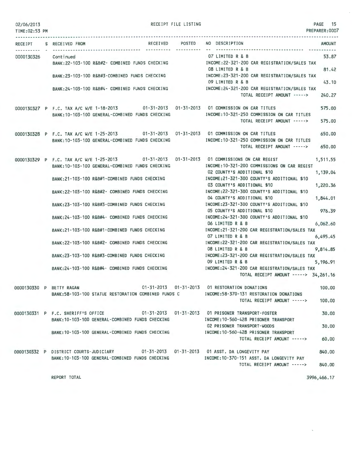| 02/06/2013<br>TIME:02:53 PM |                                                                                                                                               | RECEIPT FILE LISTING |                                                                                                                   | PAGE 15<br>PREPARER:0007 |
|-----------------------------|-----------------------------------------------------------------------------------------------------------------------------------------------|----------------------|-------------------------------------------------------------------------------------------------------------------|--------------------------|
|                             | RECEIVED POSTED<br>RECEIPT S RECEIVED FROM                                                                                                    |                      | NO DESCRIPTION                                                                                                    | <b>AMOUNT</b>            |
| 0000130326                  | Cont i nued<br>BANK:22-103-100 R&B#2- COMBINED FUNDS CHECKING MODE:22-321-200 CAR REGISTRATION/SALES TAX                                      |                      | 07 LIMITED R & B                                                                                                  | 53.87                    |
|                             | BANK: 23-103-100 R&B#3-COMBINED FUNDS CHECKING                                                                                                |                      | 08 LIMITED R & B<br>INCOME:23-321-200 CAR REGISTRATION/SALES TAX<br>09 LIMITED R & B                              | 81.42<br>43.10           |
|                             | BANK:24-103-100 R&B#4- COMBINED FUNDS CHECKING [NCOME:24-321-200 CAR REGISTRATION/SALES TAX                                                   |                      | TOTAL RECEIPT AMOUNT ----->                                                                                       | 240.27                   |
|                             | 0000130327 P F.C. TAX A/C W/E 1-18-2013 01-31-2013 01-31-2013 01 COMMISSION ON CAR TITLES<br>BANK:10-103-100 GENERAL-COMBINED FUNDS CHECKING  |                      | INCOME:10-321-250 COMMISSION ON CAR TITLES<br>TOTAL RECEIPT AMOUNT ----->                                         | 575.00<br>575.00         |
|                             | 0000130328 P F.C. TAX A/C W/E 1-25-2013 01-31-2013 01-31-2013 01 COMMISSION ON CAR TITLES<br>BANK: 10-103-100 GENERAL-COMBINED FUNDS CHECKING |                      | INCOME: 10-321-250 COMMISSION ON CAR TITLES<br>TOTAL RECEIPT AMOUNT -----> 650.00                                 | 650.00                   |
|                             | 0000130329 P F.C. TAX A/C W/E 1-25-2013 01-31-2013 01-31-2013 01 COMMISSIONS ON CAR REGIST<br>BANK:10-103-100 GENERAL-COMBINED FUNDS CHECKING |                      | INCOME: 10-321-200 COMMISSIONS ON CAR REGIST<br>02 COUNTY'S ADDITIONAL \$10                                       | 1,511.55<br>1,139.04     |
|                             | BANK:21-103-100 R&B#1-COMBINED FUNDS CHECKING                                                                                                 |                      | INCOME:21-321-300 COUNTY'S ADDITIONAL \$10<br>03 COUNTY'S ADDITIONAL \$10                                         | 1,220.36                 |
|                             | BANK:22-103-100 R&B#2- COMBINED FUNDS CHECKING                                                                                                |                      | INCOME:22-321-300 COUNTY'S ADDITIONAL \$10<br>04 COUNTY'S ADDITIONAL \$10                                         | 1,844.01                 |
|                             | BANK:23-103-100 R&B#3-COMBINED FUNDS CHECKING                                                                                                 |                      | INCOME:23-321-300 COUNTY'S ADDITIONAL \$10<br>05 COUNTY'S ADDITIONAL \$10                                         | 976.39                   |
|                             | BANK: 24-103-100 R&B#4- COMBINED FUNDS CHECKING                                                                                               |                      | INCOME:24-321-300 COUNTY'S ADDITIONAL \$10<br>06 LIMITED R & B                                                    | 6,062.60                 |
|                             | BANK:21-103-100 R&B#1-COMBINED FUNDS CHECKING                                                                                                 |                      | INCOME:21-321-200 CAR REGISTRATION/SALES TAX<br>07 LIMITED R & B                                                  | 6,495.45                 |
|                             | BANK:22-103-100 R&B#2- COMBINED FUNDS CHECKING                                                                                                |                      | INCOME:22-321-200 CAR REGISTRATION/SALES TAX<br>08 LIMITED R & B                                                  | 9,814.85                 |
|                             | BANK: 23-103-100 R&B#3-COMBINED FUNDS CHECKING<br>BANK: 24-103-100 R&B#4- COMBINED FUNDS CHECKING                                             |                      | INCOME:23-321-200 CAR REGISTRATION/SALES TAX<br>09 LIMITED R & B<br>INCOME: 24-321-200 CAR REGISTRATION/SALES TAX | 5, 196, 91               |
|                             |                                                                                                                                               |                      | TOTAL RECEIPT AMOUNT -----> 34,261.16                                                                             |                          |
|                             | 0000130330 P BETTY RAGAN<br>BANK:58-103-100 STATUE RESTORATION COMBINED FUNDS C                                                               |                      | 01-31-2013  01-31-2013  01 RESTORATION DONATIONS<br>INCOME: 58-370-131 RESTORATION DONATIONS                      | 100.00                   |
|                             |                                                                                                                                               |                      | TOTAL RECEIPT AMOUNT ----->                                                                                       | 100,00                   |
|                             | 0000130331 P F.C. SHERIFF'S OFFICE 01-31-2013 01-31-2013 01 PRISONER TRANSPORT-FOSTER<br>BANK: 10-103-100 GENERAL-COMBINED FUNDS CHECKING     |                      | INCOME: 10-560-428 PRISONER TRANSPORT                                                                             | 30.00                    |
|                             | BANK: 10-103-100 GENERAL-COMBINED FUNDS CHECKING                                                                                              |                      | 02 PRISONER TRANSPORT-WOODS<br>INCOME: 10-560-428 PRISONER TRANSPORT<br>TOTAL RECEIPT AMOUNT ----->               | 30,00<br>60,00           |
|                             | 0000130332 P DISTRICT COURTS-JUDICIARY 01-31-2013 01-31-2013 01 ASST, DA LONGEVITY PAY                                                        |                      |                                                                                                                   | 840,00                   |
|                             | BANK:10-103-100 GENERAL-COMBINED FUNDS CHECKING                                                                                               |                      | INCOME:10-370-151 ASST. DA LONGEVITY PAY<br>TOTAL RECEIPT AMOUNT ----->                                           | 840.00                   |
|                             | REPORT TOTAL                                                                                                                                  |                      |                                                                                                                   | 3996,466.17              |

 $\bar{\mathbf{r}}$ 

 $\bar{\zeta}$